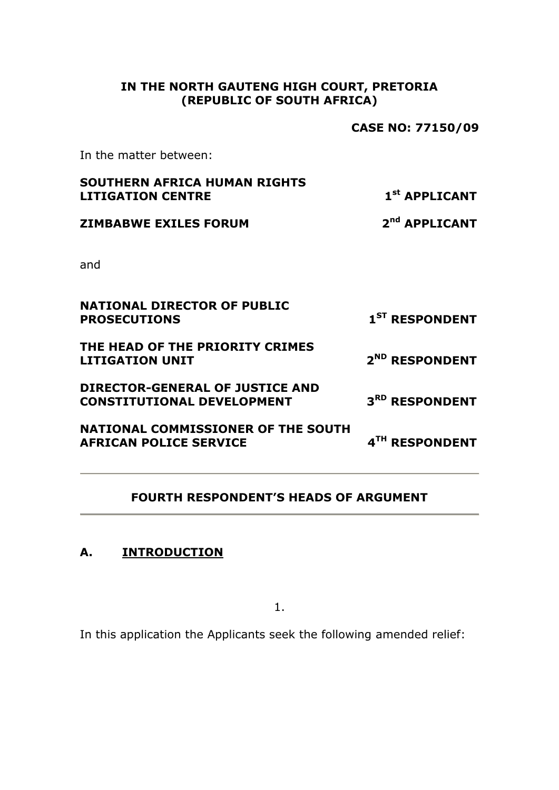## **IN THE NORTH GAUTENG HIGH COURT, PRETORIA (REPUBLIC OF SOUTH AFRICA)**

**CASE NO: 77150/09**

In the matter between:

| <b>SOUTHERN AFRICA HUMAN RIGHTS</b><br><b>LITIGATION CENTRE</b>             | 1 <sup>st</sup> APPLICANT  |
|-----------------------------------------------------------------------------|----------------------------|
| <b>ZIMBABWE EXILES FORUM</b>                                                | 2 <sup>nd</sup> APPLICANT  |
| and                                                                         |                            |
| <b>NATIONAL DIRECTOR OF PUBLIC</b><br><b>PROSECUTIONS</b>                   | 1 <sup>ST</sup> RESPONDENT |
| THE HEAD OF THE PRIORITY CRIMES<br><b>LITIGATION UNIT</b>                   | 2 <sup>ND</sup> RESPONDENT |
| <b>DIRECTOR-GENERAL OF JUSTICE AND</b><br><b>CONSTITUTIONAL DEVELOPMENT</b> | 3 <sup>RD</sup> RESPONDENT |
| <b>NATIONAL COMMISSIONER OF THE SOUTH</b><br><b>AFRICAN POLICE SERVICE</b>  | 4TH RESPONDENT             |
|                                                                             |                            |

## **FOURTH RESPONDENT'S HEADS OF ARGUMENT**

# **A. INTRODUCTION**

1.

In this application the Applicants seek the following amended relief: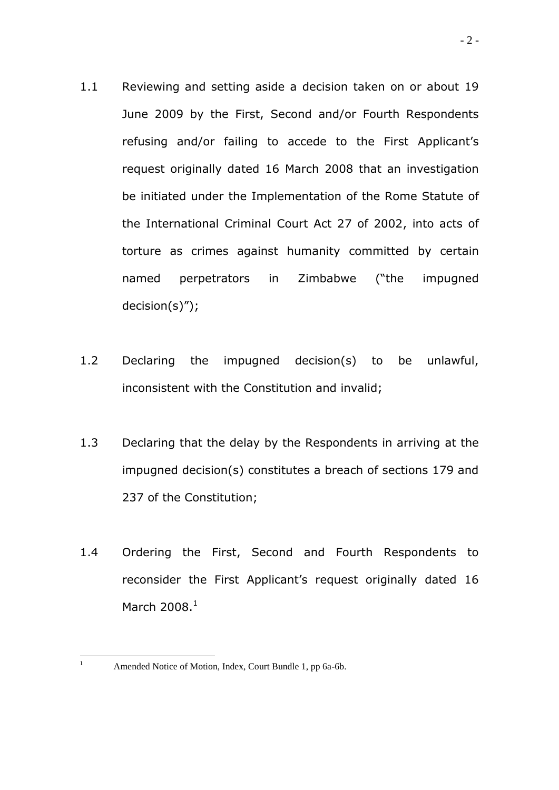- 1.1 Reviewing and setting aside a decision taken on or about 19 June 2009 by the First, Second and/or Fourth Respondents refusing and/or failing to accede to the First Applicant's request originally dated 16 March 2008 that an investigation be initiated under the Implementation of the Rome Statute of the International Criminal Court Act 27 of 2002, into acts of torture as crimes against humanity committed by certain named perpetrators in Zimbabwe ("the impugned decision(s)");
- 1.2 Declaring the impugned decision(s) to be unlawful, inconsistent with the Constitution and invalid;
- 1.3 Declaring that the delay by the Respondents in arriving at the impugned decision(s) constitutes a breach of sections 179 and 237 of the Constitution;
- 1.4 Ordering the First, Second and Fourth Respondents to reconsider the First Applicant's request originally dated 16 March  $2008.<sup>1</sup>$

 $1\,$ 

Amended Notice of Motion, Index, Court Bundle 1, pp 6a-6b.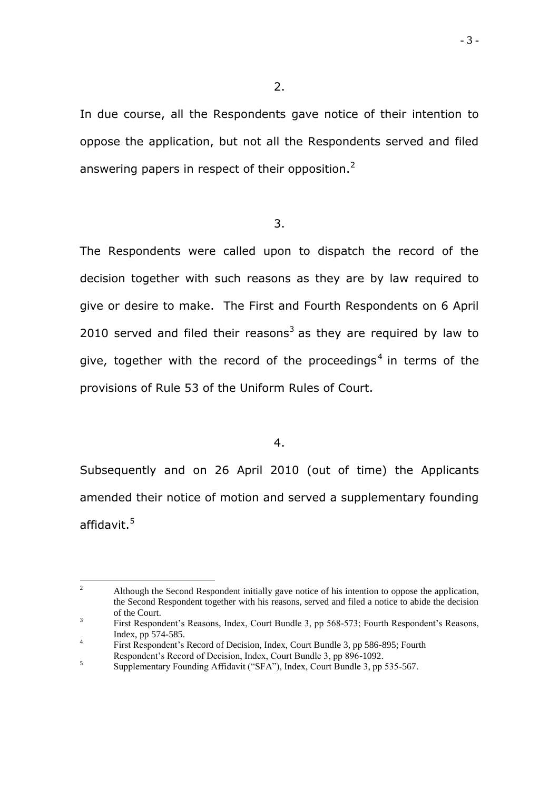In due course, all the Respondents gave notice of their intention to oppose the application, but not all the Respondents served and filed answering papers in respect of their opposition. $<sup>2</sup>$ </sup>

3.

The Respondents were called upon to dispatch the record of the decision together with such reasons as they are by law required to give or desire to make. The First and Fourth Respondents on 6 April 2010 served and filed their reasons<sup>3</sup> as they are required by law to give, together with the record of the proceedings<sup>4</sup> in terms of the provisions of Rule 53 of the Uniform Rules of Court.

4.

Subsequently and on 26 April 2010 (out of time) the Applicants amended their notice of motion and served a supplementary founding affidavit.<sup>5</sup>

 $\overline{2}$ <sup>2</sup> Although the Second Respondent initially gave notice of his intention to oppose the application, the Second Respondent together with his reasons, served and filed a notice to abide the decision of the Court.

<sup>3</sup> First Respondent's Reasons, Index, Court Bundle 3, pp 568-573; Fourth Respondent's Reasons, Index, pp 574-585.

<sup>4</sup> First Respondent"s Record of Decision, Index, Court Bundle 3, pp 586-895; Fourth Respondent"s Record of Decision, Index, Court Bundle 3, pp 896-1092.

<sup>5</sup> Supplementary Founding Affidavit ("SFA"), Index, Court Bundle 3, pp 535-567.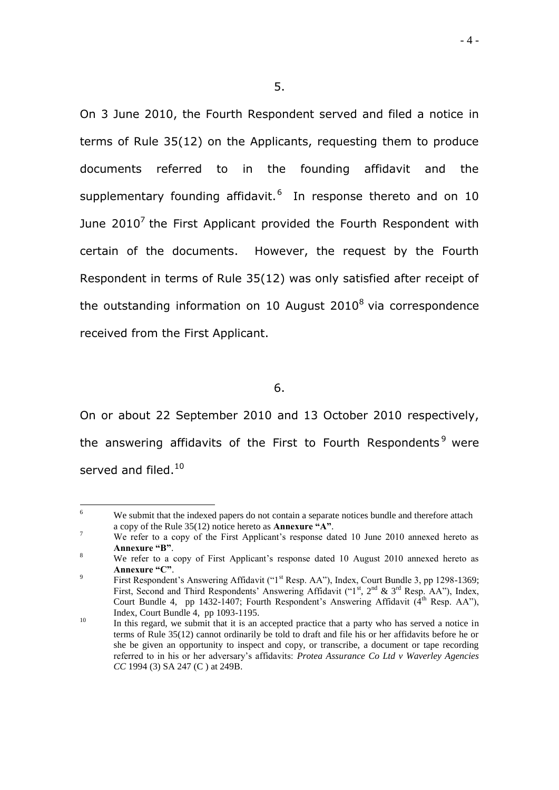On 3 June 2010, the Fourth Respondent served and filed a notice in terms of Rule 35(12) on the Applicants, requesting them to produce documents referred to in the founding affidavit and the supplementary founding affidavit.<sup>6</sup> In response thereto and on 10 June 2010<sup>7</sup> the First Applicant provided the Fourth Respondent with certain of the documents. However, the request by the Fourth Respondent in terms of Rule 35(12) was only satisfied after receipt of the outstanding information on 10 August 2010 $^8$  via correspondence received from the First Applicant.

6.

On or about 22 September 2010 and 13 October 2010 respectively, the answering affidavits of the First to Fourth Respondents<sup>9</sup> were served and filed.<sup>10</sup>

 $-4-$ 

<sup>6</sup> We submit that the indexed papers do not contain a separate notices bundle and therefore attach a copy of the Rule 35(12) notice hereto as **Annexure "A"**.

<sup>&</sup>lt;sup>7</sup> We refer to a copy of the First Applicant's response dated 10 June 2010 annexed hereto as **Annexure "B"**.

<sup>&</sup>lt;sup>8</sup> We refer to a copy of First Applicant's response dated 10 August 2010 annexed hereto as **Annexure "C"**.

<sup>9</sup> First Respondent's Answering Affidavit ("1<sup>st</sup> Resp. AA"), Index, Court Bundle 3, pp 1298-1369; First, Second and Third Respondents' Answering Affidavit ("1<sup>st</sup>, 2<sup>nd</sup> & 3<sup>rd</sup> Resp. AA"), Index, Court Bundle 4, pp 1432-1407; Fourth Respondent's Answering Affidavit (4<sup>th</sup> Resp. AA"), Index, Court Bundle 4, pp 1093-1195.

 $10$  In this regard, we submit that it is an accepted practice that a party who has served a notice in terms of Rule 35(12) cannot ordinarily be told to draft and file his or her affidavits before he or she be given an opportunity to inspect and copy, or transcribe, a document or tape recording referred to in his or her adversary"s affidavits: *Protea Assurance Co Ltd v Waverley Agencies CC* 1994 (3) SA 247 (C ) at 249B.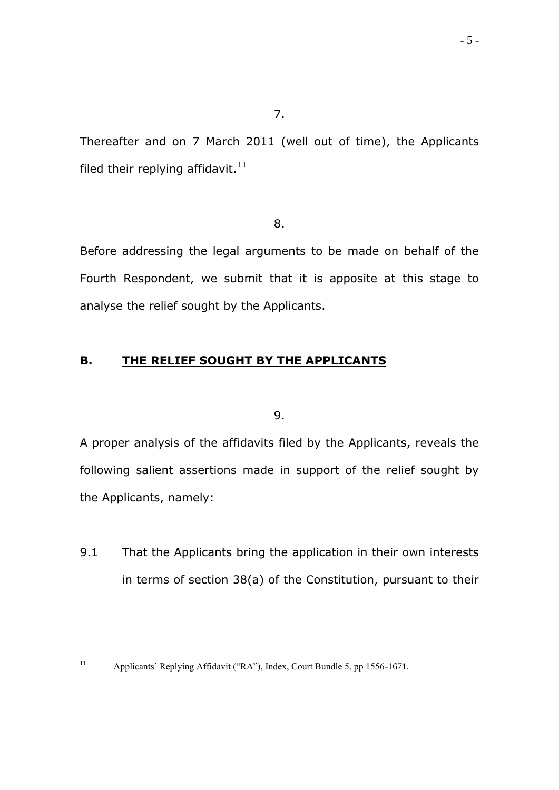Thereafter and on 7 March 2011 (well out of time), the Applicants filed their replying affidavit. $11$ 

8.

Before addressing the legal arguments to be made on behalf of the Fourth Respondent, we submit that it is apposite at this stage to analyse the relief sought by the Applicants.

# **B. THE RELIEF SOUGHT BY THE APPLICANTS**

9.

A proper analysis of the affidavits filed by the Applicants, reveals the following salient assertions made in support of the relief sought by the Applicants, namely:

9.1 That the Applicants bring the application in their own interests in terms of section 38(a) of the Constitution, pursuant to their

 $11\,$ Applicants' Replying Affidavit ("RA"), Index, Court Bundle 5, pp 1556-1671.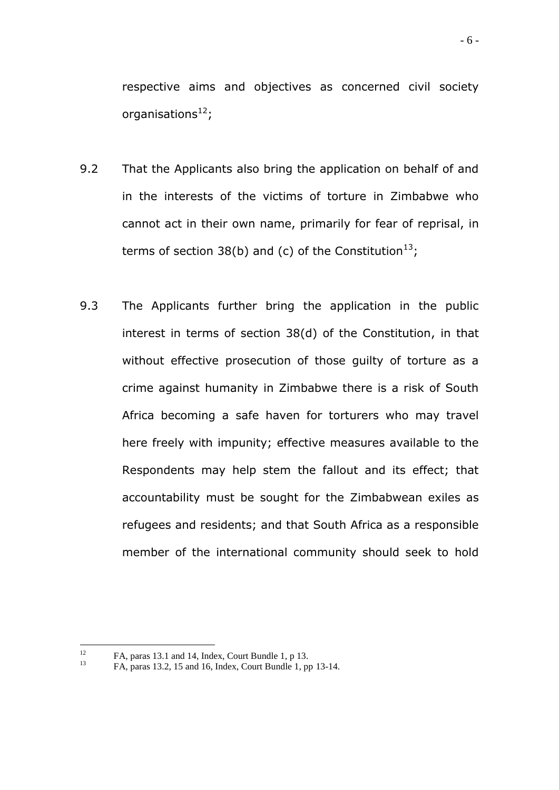respective aims and objectives as concerned civil society organisations $^{12}$ ;

- 9.2 That the Applicants also bring the application on behalf of and in the interests of the victims of torture in Zimbabwe who cannot act in their own name, primarily for fear of reprisal, in terms of section 38(b) and (c) of the Constitution<sup>13</sup>;
- 9.3 The Applicants further bring the application in the public interest in terms of section 38(d) of the Constitution, in that without effective prosecution of those guilty of torture as a crime against humanity in Zimbabwe there is a risk of South Africa becoming a safe haven for torturers who may travel here freely with impunity; effective measures available to the Respondents may help stem the fallout and its effect; that accountability must be sought for the Zimbabwean exiles as refugees and residents; and that South Africa as a responsible member of the international community should seek to hold

<sup>12</sup> <sup>12</sup> FA, paras 13.1 and 14, Index, Court Bundle 1, p 13.<br><sup>13</sup> EA, pages 12.2, 15 and 16, Index, Court Bundle 1, pr

<sup>13</sup> FA, paras 13.2, 15 and 16, Index, Court Bundle 1, pp 13-14.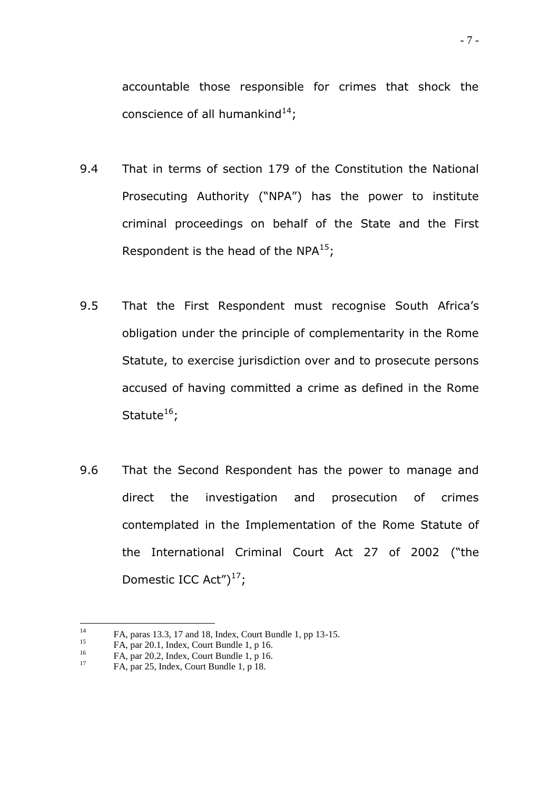accountable those responsible for crimes that shock the conscience of all humankind<sup>14</sup>;

- 9.4 That in terms of section 179 of the Constitution the National Prosecuting Authority ("NPA") has the power to institute criminal proceedings on behalf of the State and the First Respondent is the head of the NPA $^{15}$ ;
- 9.5 That the First Respondent must recognise South Africa's obligation under the principle of complementarity in the Rome Statute, to exercise jurisdiction over and to prosecute persons accused of having committed a crime as defined in the Rome Statute $^{16}$ ;
- 9.6 That the Second Respondent has the power to manage and direct the investigation and prosecution of crimes contemplated in the Implementation of the Rome Statute of the International Criminal Court Act 27 of 2002 ("the Domestic ICC Act" $)^{17}$ ;

 $14$ <sup>14</sup> FA, paras 13.3, 17 and 18, Index, Court Bundle 1, pp 13-15.

<sup>&</sup>lt;sup>15</sup> FA, par 20.1, Index, Court Bundle 1, p 16.<br><sup>16</sup> EA, par 20.2, Index, Court Bundle 1, p 16.

<sup>&</sup>lt;sup>16</sup> FA, par 20.2, Index, Court Bundle 1, p 16.<br> $\frac{17}{2}$  FA, par 25. Index, Court Bundle 1, p 19.

<sup>17</sup> FA, par 25, Index, Court Bundle 1, p 18.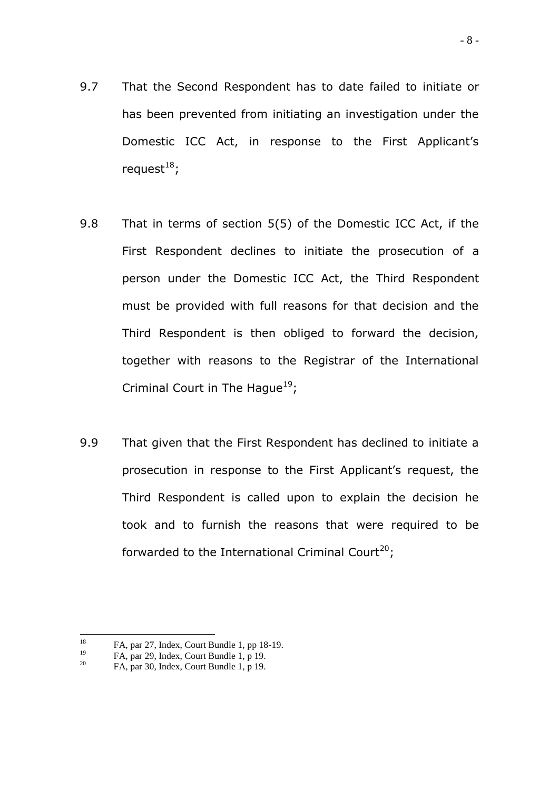- 9.7 That the Second Respondent has to date failed to initiate or has been prevented from initiating an investigation under the Domestic ICC Act, in response to the First Applicant's request $18$ ;
- 9.8 That in terms of section 5(5) of the Domestic ICC Act, if the First Respondent declines to initiate the prosecution of a person under the Domestic ICC Act, the Third Respondent must be provided with full reasons for that decision and the Third Respondent is then obliged to forward the decision, together with reasons to the Registrar of the International Criminal Court in The Hague<sup>19</sup>;
- 9.9 That given that the First Respondent has declined to initiate a prosecution in response to the First Applicant"s request, the Third Respondent is called upon to explain the decision he took and to furnish the reasons that were required to be forwarded to the International Criminal Court<sup>20</sup>;

<sup>18</sup> <sup>18</sup> FA, par 27, Index, Court Bundle 1, pp 18-19.<br> $FA$ , par 29, Index, Court Bundle 1, p.19.

<sup>&</sup>lt;sup>19</sup> FA, par 29, Index, Court Bundle 1, p 19.

FA, par 30, Index, Court Bundle 1, p 19.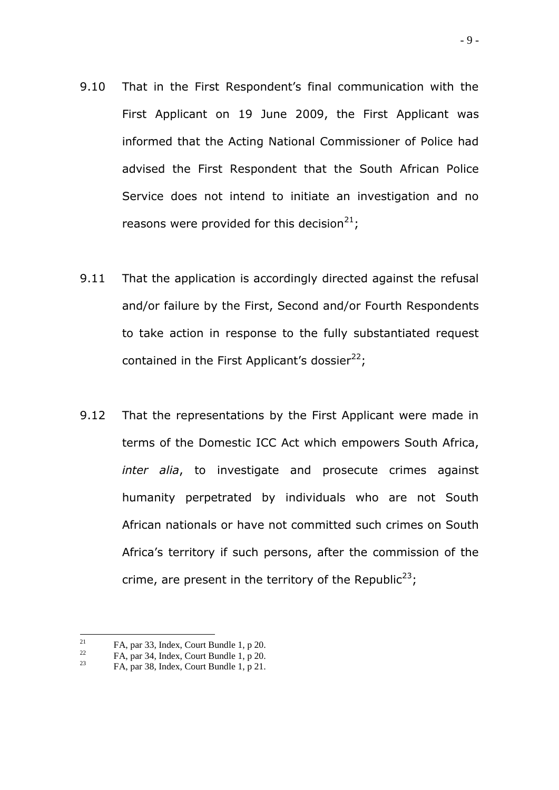- 9.10 That in the First Respondent's final communication with the First Applicant on 19 June 2009, the First Applicant was informed that the Acting National Commissioner of Police had advised the First Respondent that the South African Police Service does not intend to initiate an investigation and no reasons were provided for this decision<sup>21</sup>;
- 9.11 That the application is accordingly directed against the refusal and/or failure by the First, Second and/or Fourth Respondents to take action in response to the fully substantiated request contained in the First Applicant's dossier $^{22}$ ;
- 9.12 That the representations by the First Applicant were made in terms of the Domestic ICC Act which empowers South Africa, *inter alia*, to investigate and prosecute crimes against humanity perpetrated by individuals who are not South African nationals or have not committed such crimes on South Africa"s territory if such persons, after the commission of the crime, are present in the territory of the Republic<sup>23</sup>;

<sup>21</sup> <sup>21</sup> FA, par 33, Index, Court Bundle 1, p 20.<br>
EA, par 34, Index, Court Bundle 1, p 20.

<sup>&</sup>lt;sup>22</sup> FA, par 34, Index, Court Bundle 1, p 20.<br>  $\frac{23}{50}$  FA, par 28, Index, Court Bundle 1, p 21.

FA, par 38, Index, Court Bundle 1, p 21.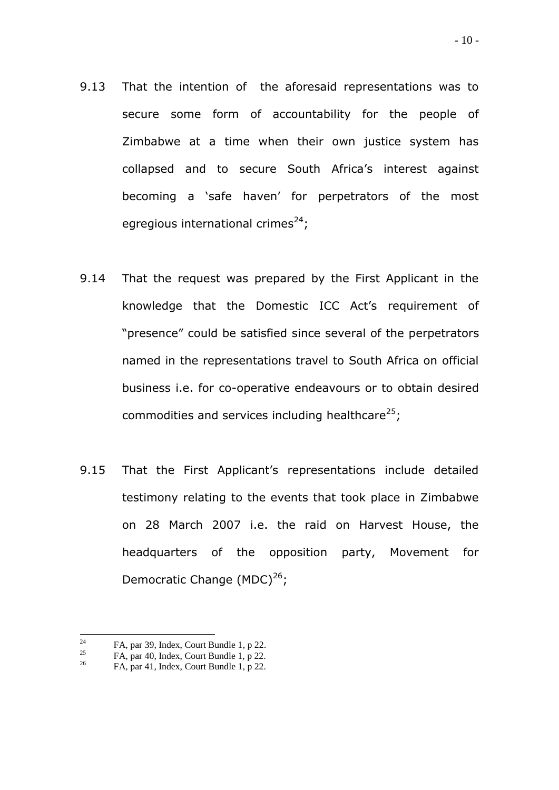- 9.13 That the intention of the aforesaid representations was to secure some form of accountability for the people of Zimbabwe at a time when their own justice system has collapsed and to secure South Africa"s interest against becoming a "safe haven" for perpetrators of the most egregious international crimes<sup>24</sup>;
- 9.14 That the request was prepared by the First Applicant in the knowledge that the Domestic ICC Act"s requirement of "presence" could be satisfied since several of the perpetrators named in the representations travel to South Africa on official business i.e. for co-operative endeavours or to obtain desired commodities and services including healthcare $^{25}$ ;
- 9.15 That the First Applicant"s representations include detailed testimony relating to the events that took place in Zimbabwe on 28 March 2007 i.e. the raid on Harvest House, the headquarters of the opposition party, Movement for Democratic Change (MDC)<sup>26</sup>;

 $24$ <sup>24</sup> FA, par 39, Index, Court Bundle 1, p 22.<br>
EA, par 40, Index, Court Bundle 1, p 22.

<sup>&</sup>lt;sup>25</sup> FA, par 40, Index, Court Bundle 1, p 22.<br> $\frac{25}{50}$  FA, par 41, Index, Court Bundle 1, p 22.

<sup>26</sup> FA, par 41, Index, Court Bundle 1, p 22.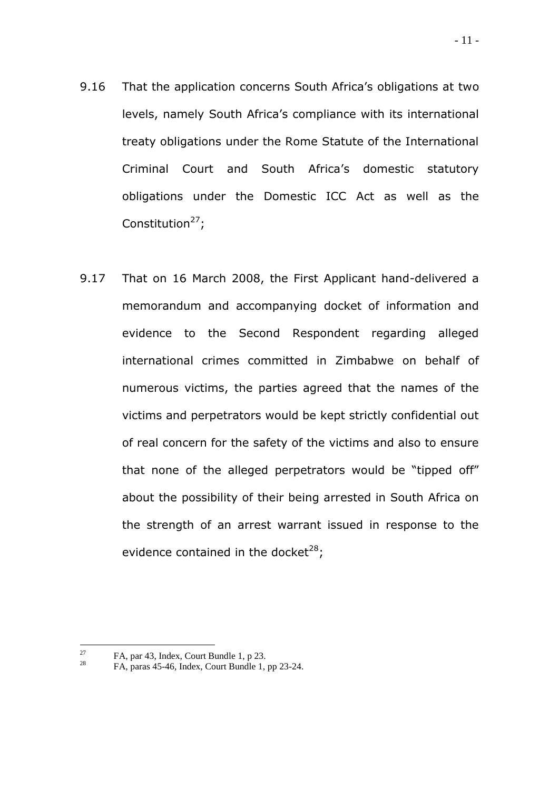- 9.16 That the application concerns South Africa's obligations at two levels, namely South Africa's compliance with its international treaty obligations under the Rome Statute of the International Criminal Court and South Africa"s domestic statutory obligations under the Domestic ICC Act as well as the Constitution $27$ ;
- 9.17 That on 16 March 2008, the First Applicant hand-delivered a memorandum and accompanying docket of information and evidence to the Second Respondent regarding alleged international crimes committed in Zimbabwe on behalf of numerous victims, the parties agreed that the names of the victims and perpetrators would be kept strictly confidential out of real concern for the safety of the victims and also to ensure that none of the alleged perpetrators would be "tipped off" about the possibility of their being arrested in South Africa on the strength of an arrest warrant issued in response to the evidence contained in the docket<sup>28</sup>;

<sup>27</sup> <sup>27</sup> FA, par 43, Index, Court Bundle 1, p 23.

<sup>28</sup> FA, paras 45-46, Index, Court Bundle 1, pp 23-24.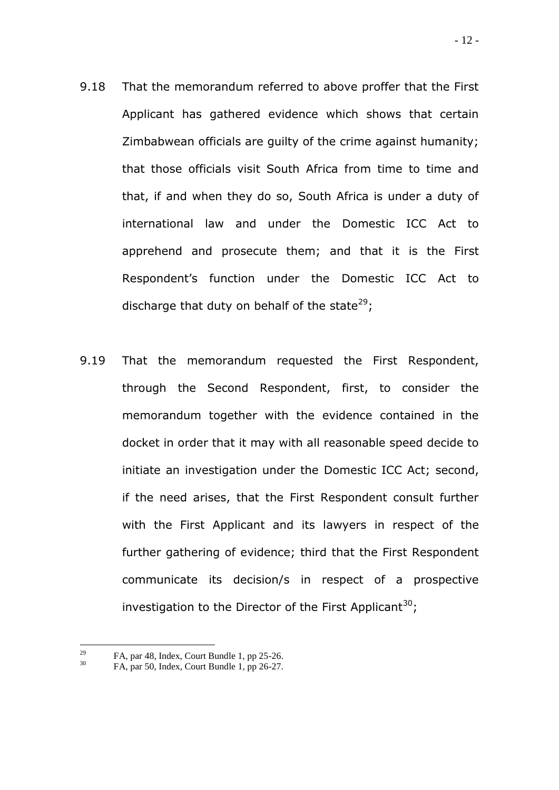- 9.18 That the memorandum referred to above proffer that the First Applicant has gathered evidence which shows that certain Zimbabwean officials are guilty of the crime against humanity; that those officials visit South Africa from time to time and that, if and when they do so, South Africa is under a duty of international law and under the Domestic ICC Act to apprehend and prosecute them; and that it is the First Respondent"s function under the Domestic ICC Act to discharge that duty on behalf of the state<sup>29</sup>;
- 9.19 That the memorandum requested the First Respondent, through the Second Respondent, first, to consider the memorandum together with the evidence contained in the docket in order that it may with all reasonable speed decide to initiate an investigation under the Domestic ICC Act; second, if the need arises, that the First Respondent consult further with the First Applicant and its lawyers in respect of the further gathering of evidence; third that the First Respondent communicate its decision/s in respect of a prospective investigation to the Director of the First Applicant<sup>30</sup>;

<sup>29</sup> <sup>29</sup> FA, par 48, Index, Court Bundle 1, pp 25-26.<br><sup>30</sup> EA, per 50, Index, Court Bundle 1, pp 26, 27.

<sup>30</sup> FA, par 50, Index, Court Bundle 1, pp 26-27.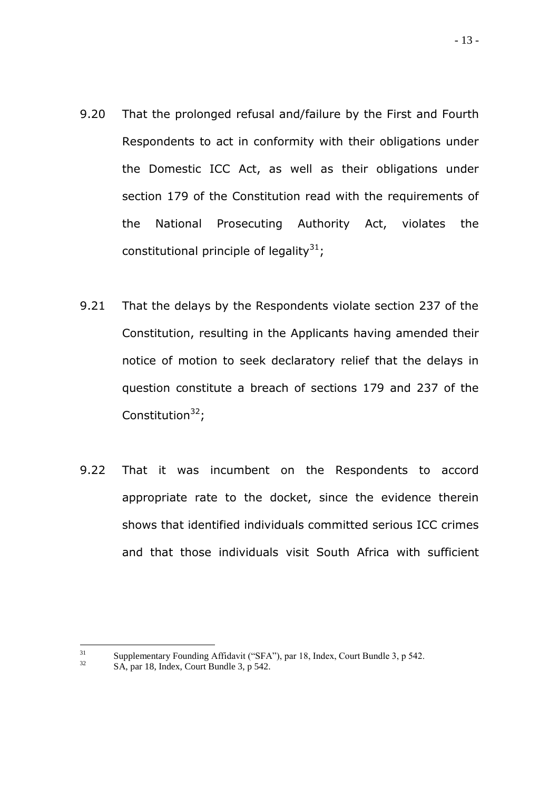- 9.20 That the prolonged refusal and/failure by the First and Fourth Respondents to act in conformity with their obligations under the Domestic ICC Act, as well as their obligations under section 179 of the Constitution read with the requirements of the National Prosecuting Authority Act, violates the constitutional principle of legality<sup>31</sup>;
- 9.21 That the delays by the Respondents violate section 237 of the Constitution, resulting in the Applicants having amended their notice of motion to seek declaratory relief that the delays in question constitute a breach of sections 179 and 237 of the Constitution $32$ ;
- 9.22 That it was incumbent on the Respondents to accord appropriate rate to the docket, since the evidence therein shows that identified individuals committed serious ICC crimes and that those individuals visit South Africa with sufficient

<sup>31</sup> <sup>31</sup> Supplementary Founding Affidavit ("SFA"), par 18, Index, Court Bundle 3, p 542.

SA, par 18, Index, Court Bundle 3, p 542.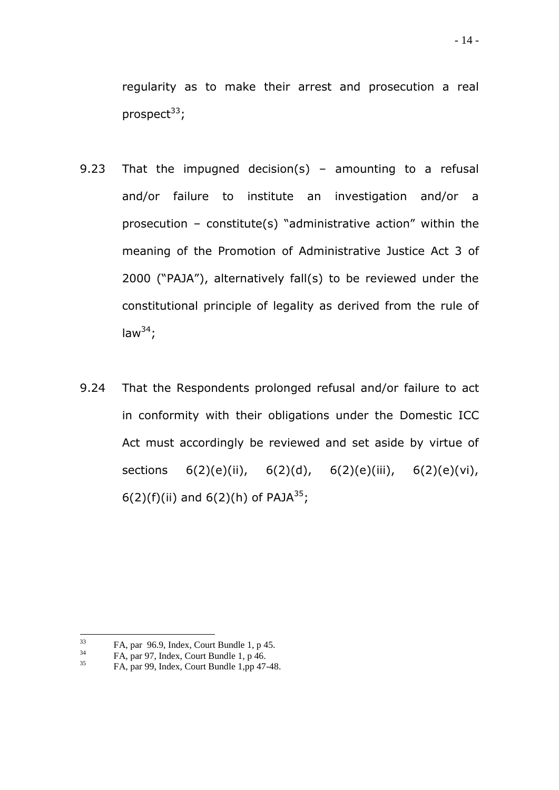regularity as to make their arrest and prosecution a real prospect $33$ ;

- 9.23 That the impugned decision(s) amounting to a refusal and/or failure to institute an investigation and/or a prosecution – constitute(s) "administrative action" within the meaning of the Promotion of Administrative Justice Act 3 of 2000 ("PAJA"), alternatively fall(s) to be reviewed under the constitutional principle of legality as derived from the rule of law $^{34}$ ;
- 9.24 That the Respondents prolonged refusal and/or failure to act in conformity with their obligations under the Domestic ICC Act must accordingly be reviewed and set aside by virtue of sections 6(2)(e)(ii), 6(2)(d), 6(2)(e)(iii), 6(2)(e)(vi), 6(2)(f)(ii) and 6(2)(h) of PAJA<sup>35</sup>;

 $33$  $^{33}$  FA, par 96.9, Index, Court Bundle 1, p 45.<br> $^{34}$  FA, par 97. Index, Court Bundle 1, p 46.

 $^{34}$  FA, par 97, Index, Court Bundle 1, p 46.

<sup>35</sup> FA, par 99, Index, Court Bundle 1,pp 47-48.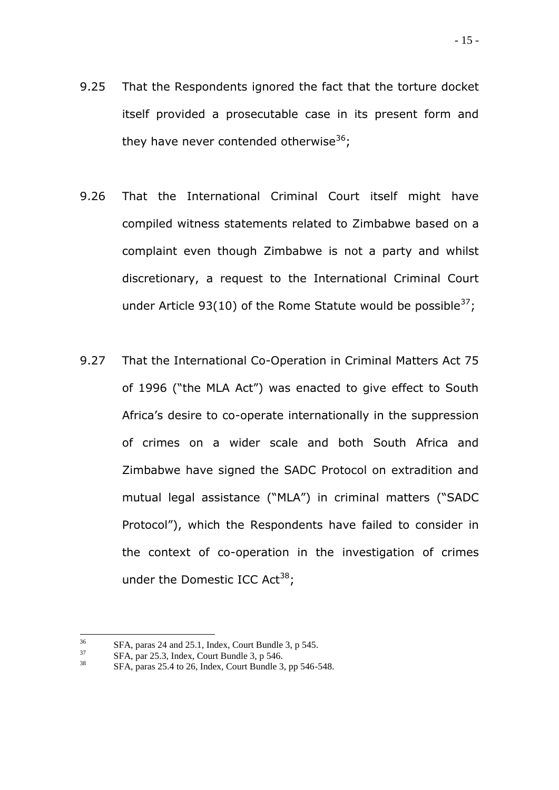- 9.25 That the Respondents ignored the fact that the torture docket itself provided a prosecutable case in its present form and they have never contended otherwise<sup>36</sup>;
- 9.26 That the International Criminal Court itself might have compiled witness statements related to Zimbabwe based on a complaint even though Zimbabwe is not a party and whilst discretionary, a request to the International Criminal Court under Article 93(10) of the Rome Statute would be possible  $37$ ;
- 9.27 That the International Co-Operation in Criminal Matters Act 75 of 1996 ("the MLA Act") was enacted to give effect to South Africa"s desire to co-operate internationally in the suppression of crimes on a wider scale and both South Africa and Zimbabwe have signed the SADC Protocol on extradition and mutual legal assistance ("MLA") in criminal matters ("SADC Protocol"), which the Respondents have failed to consider in the context of co-operation in the investigation of crimes under the Domestic ICC Act<sup>38</sup>;

<sup>36</sup>  $^{36}$  SFA, paras 24 and 25.1, Index, Court Bundle 3, p 545.<br> $^{37}$  SFA, par 25.3, Index, Court Bundle 3, p 546.

 $\frac{37}{38}$  SFA, par 25.3, Index, Court Bundle 3, p 546.

<sup>38</sup> SFA, paras 25.4 to 26, Index, Court Bundle 3, pp 546-548.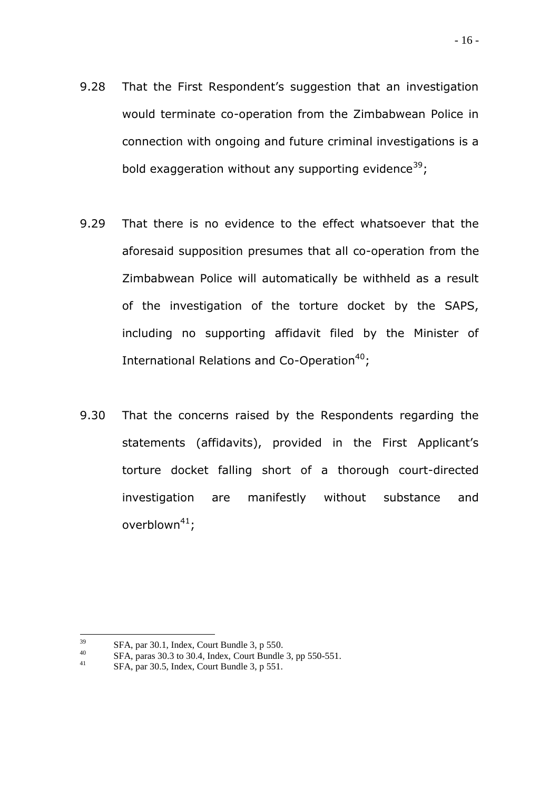- 9.28 That the First Respondent's suggestion that an investigation would terminate co-operation from the Zimbabwean Police in connection with ongoing and future criminal investigations is a bold exaggeration without any supporting evidence<sup>39</sup>;
- 9.29 That there is no evidence to the effect whatsoever that the aforesaid supposition presumes that all co-operation from the Zimbabwean Police will automatically be withheld as a result of the investigation of the torture docket by the SAPS, including no supporting affidavit filed by the Minister of International Relations and Co-Operation $40$ ;
- 9.30 That the concerns raised by the Respondents regarding the statements (affidavits), provided in the First Applicant's torture docket falling short of a thorough court-directed investigation are manifestly without substance and overblown $41$ ;

<sup>39</sup>  $\frac{39}{40}$  SFA, par 30.1, Index, Court Bundle 3, p 550.<br> $\frac{856}{40}$  SFA, paras 30.3 to 30.4. Index, Court Bundle

<sup>&</sup>lt;sup>40</sup> SFA, paras 30.3 to 30.4, Index, Court Bundle 3, pp 550-551.

SFA, par 30.5, Index, Court Bundle 3, p 551.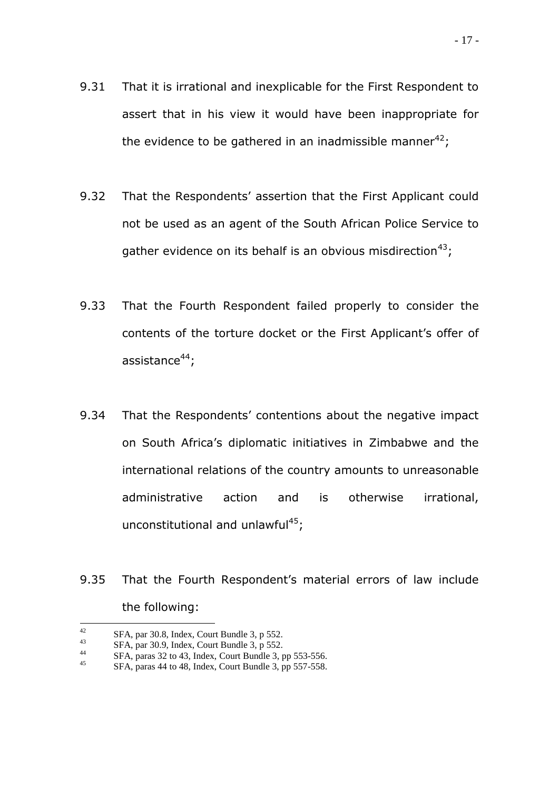- 9.32 That the Respondents' assertion that the First Applicant could not be used as an agent of the South African Police Service to gather evidence on its behalf is an obvious misdirection<sup>43</sup>;
- 9.33 That the Fourth Respondent failed properly to consider the contents of the torture docket or the First Applicant"s offer of assistance $44$ :
- 9.34 That the Respondents' contentions about the negative impact on South Africa"s diplomatic initiatives in Zimbabwe and the international relations of the country amounts to unreasonable administrative action and is otherwise irrational, unconstitutional and unlawful<sup>45</sup>;
- 9.35 That the Fourth Respondent's material errors of law include the following:

 $42$ <sup>42</sup> SFA, par 30.8, Index, Court Bundle 3, p 552.<br> ${}^{43}$  SFA, par 30.0, Index, Court Bundle 3, p 552.

<sup>&</sup>lt;sup>43</sup> SFA, par 30.9, Index, Court Bundle 3, p 552.<br> ${}^{44}$  SFA, paras 32 to 43 Index, Court Bundle 3,

<sup>&</sup>lt;sup>44</sup> SFA, paras 32 to 43, Index, Court Bundle 3, pp 553-556.<br><sup>45</sup> SFA, paras 44 to 48. Index, Court Bundle 2, pp 557-558.

SFA, paras 44 to 48, Index, Court Bundle 3, pp 557-558.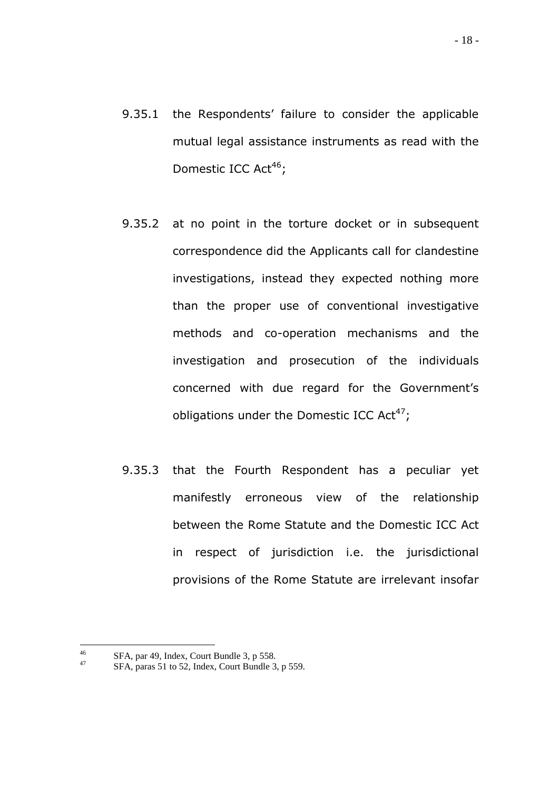- 9.35.1 the Respondents' failure to consider the applicable mutual legal assistance instruments as read with the Domestic ICC Act<sup>46</sup>;
- 9.35.2 at no point in the torture docket or in subsequent correspondence did the Applicants call for clandestine investigations, instead they expected nothing more than the proper use of conventional investigative methods and co-operation mechanisms and the investigation and prosecution of the individuals concerned with due regard for the Government"s obligations under the Domestic ICC Act<sup>47</sup>;
- 9.35.3 that the Fourth Respondent has a peculiar yet manifestly erroneous view of the relationship between the Rome Statute and the Domestic ICC Act in respect of jurisdiction i.e. the jurisdictional provisions of the Rome Statute are irrelevant insofar

<sup>46</sup> <sup>46</sup> SFA, par 49, Index, Court Bundle 3, p 558.<br><sup>47</sup> SEA, page 51 to 52, Index, Court Bundle 2.

SFA, paras 51 to 52, Index, Court Bundle 3, p 559.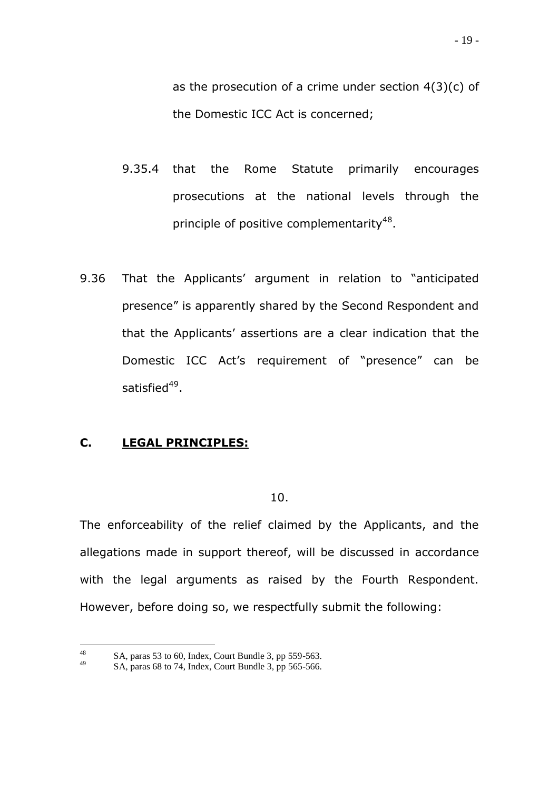as the prosecution of a crime under section  $4(3)(c)$  of the Domestic ICC Act is concerned;

- 9.35.4 that the Rome Statute primarily encourages prosecutions at the national levels through the principle of positive complementarity<sup>48</sup>.
- 9.36 That the Applicants' argument in relation to "anticipated presence" is apparently shared by the Second Respondent and that the Applicants" assertions are a clear indication that the Domestic ICC Act"s requirement of "presence" can be satisfied<sup>49</sup>.

# **C. LEGAL PRINCIPLES:**

10.

The enforceability of the relief claimed by the Applicants, and the allegations made in support thereof, will be discussed in accordance with the legal arguments as raised by the Fourth Respondent. However, before doing so, we respectfully submit the following:

<sup>48</sup> <sup>48</sup> SA, paras 53 to 60, Index, Court Bundle 3, pp 559-563.

SA, paras 68 to 74, Index, Court Bundle 3, pp 565-566.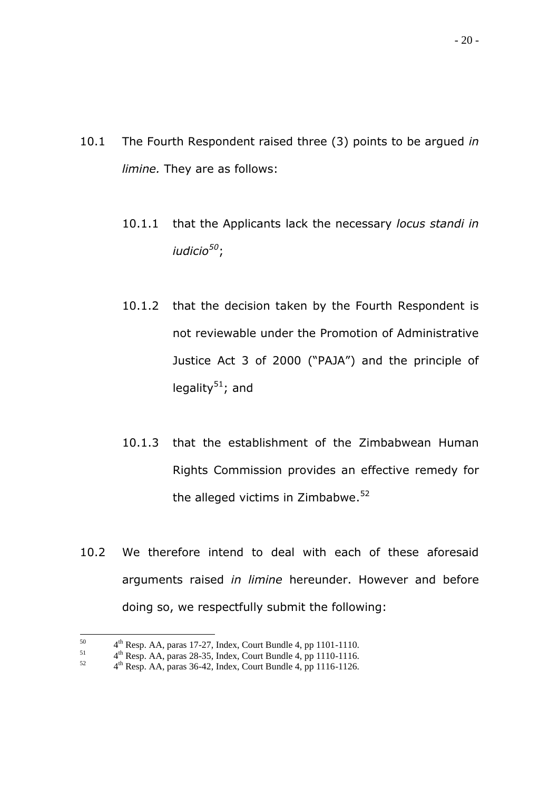- 10.1 The Fourth Respondent raised three (3) points to be argued *in limine.* They are as follows:
	- 10.1.1 that the Applicants lack the necessary *locus standi in iudicio<sup>50</sup>*;
	- 10.1.2 that the decision taken by the Fourth Respondent is not reviewable under the Promotion of Administrative Justice Act 3 of 2000 ("PAJA") and the principle of legality $51$ ; and
	- 10.1.3 that the establishment of the Zimbabwean Human Rights Commission provides an effective remedy for the alleged victims in Zimbabwe.<sup>52</sup>
- 10.2 We therefore intend to deal with each of these aforesaid arguments raised *in limine* hereunder. However and before doing so, we respectfully submit the following:

<sup>50</sup>  $^{50}$  4<sup>th</sup> Resp. AA, paras 17-27, Index, Court Bundle 4, pp 1101-1110.

 $^{51}$  4<sup>th</sup> Resp. AA, paras 28-35, Index, Court Bundle 4, pp 1110-1116.

 $^{52}$  4<sup>th</sup> Resp. AA, paras 36-42, Index, Court Bundle 4, pp 1116-1126.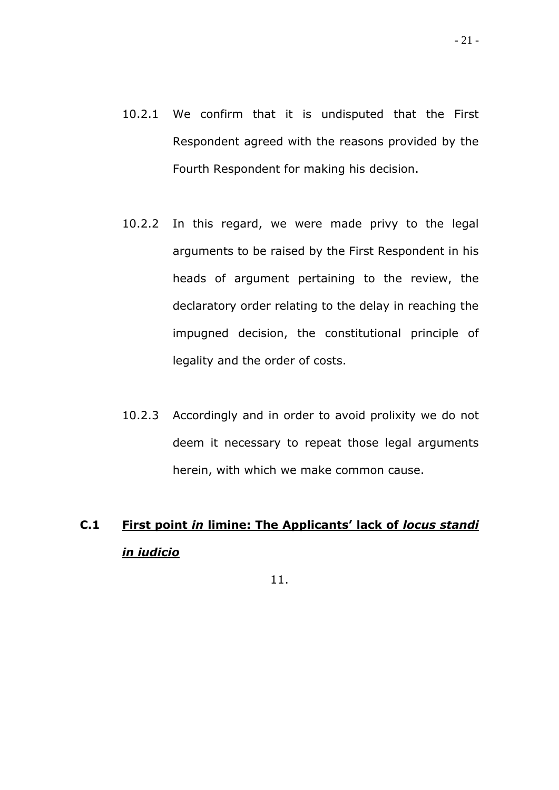- 10.2.1 We confirm that it is undisputed that the First Respondent agreed with the reasons provided by the Fourth Respondent for making his decision.
- 10.2.2 In this regard, we were made privy to the legal arguments to be raised by the First Respondent in his heads of argument pertaining to the review, the declaratory order relating to the delay in reaching the impugned decision, the constitutional principle of legality and the order of costs.
- 10.2.3 Accordingly and in order to avoid prolixity we do not deem it necessary to repeat those legal arguments herein, with which we make common cause.

# **C.1 First point** *in* **limine: The Applicants' lack of** *locus standi in iudicio*

11.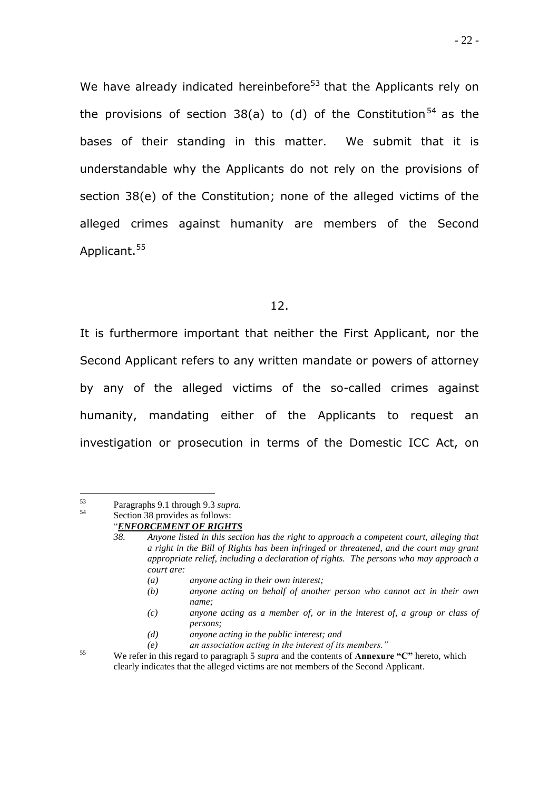We have already indicated hereinbefore<sup>53</sup> that the Applicants rely on the provisions of section 38(a) to (d) of the Constitution<sup>54</sup> as the bases of their standing in this matter. We submit that it is understandable why the Applicants do not rely on the provisions of section 38(e) of the Constitution; none of the alleged victims of the alleged crimes against humanity are members of the Second Applicant.<sup>55</sup>

#### 12.

It is furthermore important that neither the First Applicant, nor the Second Applicant refers to any written mandate or powers of attorney by any of the alleged victims of the so-called crimes against humanity, mandating either of the Applicants to request an investigation or prosecution in terms of the Domestic ICC Act, on

- *(a) anyone acting in their own interest;*
- *(b) anyone acting on behalf of another person who cannot act in their own name;*
- *(c) anyone acting as a member of, or in the interest of, a group or class of persons;*
- *(d) anyone acting in the public interest; and*
- *(e) an association acting in the interest of its members."*

<sup>55</sup> We refer in this regard to paragraph 5 *supra* and the contents of **Annexure "C"** hereto, which clearly indicates that the alleged victims are not members of the Second Applicant.

 $53$ <sup>53</sup> Paragraphs 9.1 through 9.3 *supra.*

Section 38 provides as follows:

<sup>&</sup>quot;*ENFORCEMENT OF RIGHTS*

*<sup>38.</sup> Anyone listed in this section has the right to approach a competent court, alleging that a right in the Bill of Rights has been infringed or threatened, and the court may grant appropriate relief, including a declaration of rights. The persons who may approach a court are:*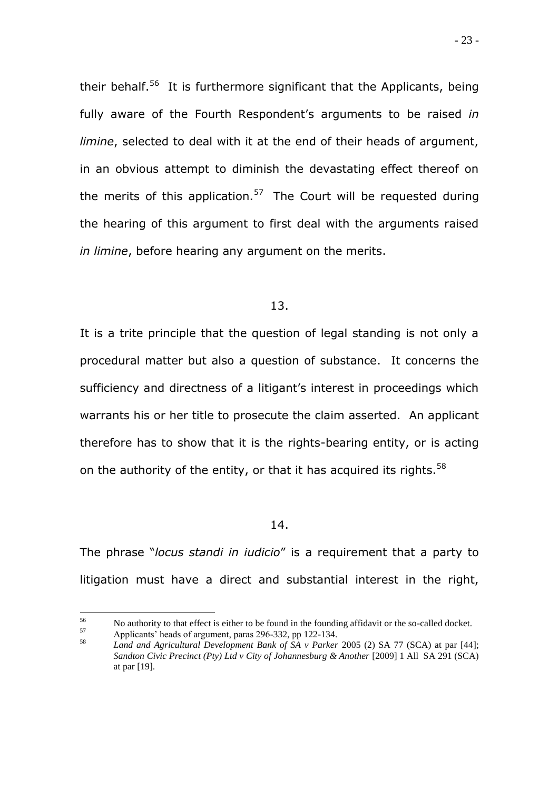their behalf.<sup>56</sup> It is furthermore significant that the Applicants, being fully aware of the Fourth Respondent's arguments to be raised *in limine*, selected to deal with it at the end of their heads of argument, in an obvious attempt to diminish the devastating effect thereof on the merits of this application.<sup>57</sup> The Court will be requested during the hearing of this argument to first deal with the arguments raised *in limine*, before hearing any argument on the merits.

#### 13.

It is a trite principle that the question of legal standing is not only a procedural matter but also a question of substance. It concerns the sufficiency and directness of a litigant's interest in proceedings which warrants his or her title to prosecute the claim asserted. An applicant therefore has to show that it is the rights-bearing entity, or is acting on the authority of the entity, or that it has acquired its rights.<sup>58</sup>

#### 14.

The phrase "*locus standi in iudicio*" is a requirement that a party to litigation must have a direct and substantial interest in the right,

<sup>56</sup> <sup>56</sup> No authority to that effect is either to be found in the founding affidavit or the so-called docket.

 $^{57}$  Applicants' heads of argument, paras 296-332, pp 122-134.

<sup>58</sup> *Land and Agricultural Development Bank of SA v Parker* 2005 (2) SA 77 (SCA) at par [44]; *Sandton Civic Precinct (Pty) Ltd v City of Johannesburg & Another* [2009] 1 All SA 291 (SCA) at par [19].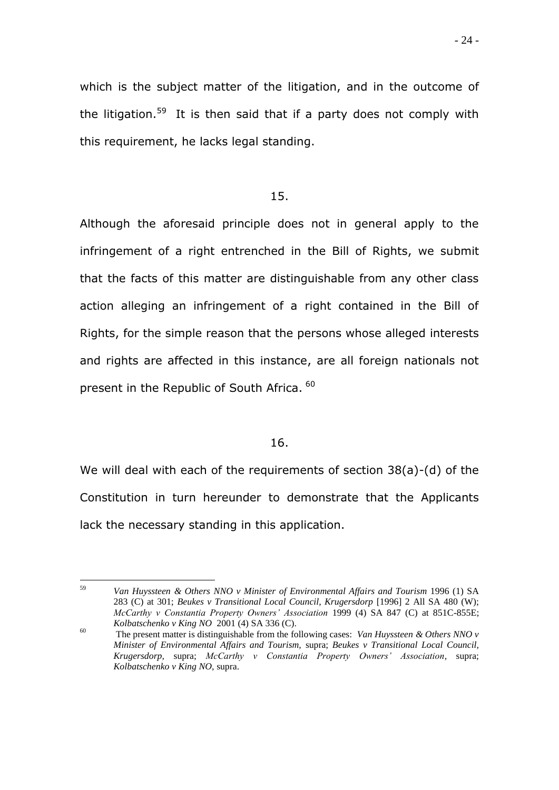## 15.

Although the aforesaid principle does not in general apply to the infringement of a right entrenched in the Bill of Rights, we submit that the facts of this matter are distinguishable from any other class action alleging an infringement of a right contained in the Bill of Rights, for the simple reason that the persons whose alleged interests and rights are affected in this instance, are all foreign nationals not present in the Republic of South Africa. <sup>60</sup>

## 16.

We will deal with each of the requirements of section 38(a)-(d) of the Constitution in turn hereunder to demonstrate that the Applicants lack the necessary standing in this application.

<sup>59</sup> <sup>59</sup> *Van Huyssteen & Others NNO v Minister of Environmental Affairs and Tourism* 1996 (1) SA 283 (C) at 301; *Beukes v Transitional Local Council, Krugersdorp* [1996] 2 All SA 480 (W); *McCarthy v Constantia Property Owners' Association* 1999 (4) SA 847 (C) at 851C-855E; *Kolbatschenko v King NO* 2001 (4) SA 336 (C).

<sup>60</sup> The present matter is distinguishable from the following cases: *Van Huyssteen & Others NNO v Minister of Environmental Affairs and Tourism,* supra; *Beukes v Transitional Local Council, Krugersdorp,* supra; *McCarthy v Constantia Property Owners' Association,* supra; *Kolbatschenko v King NO,* supra.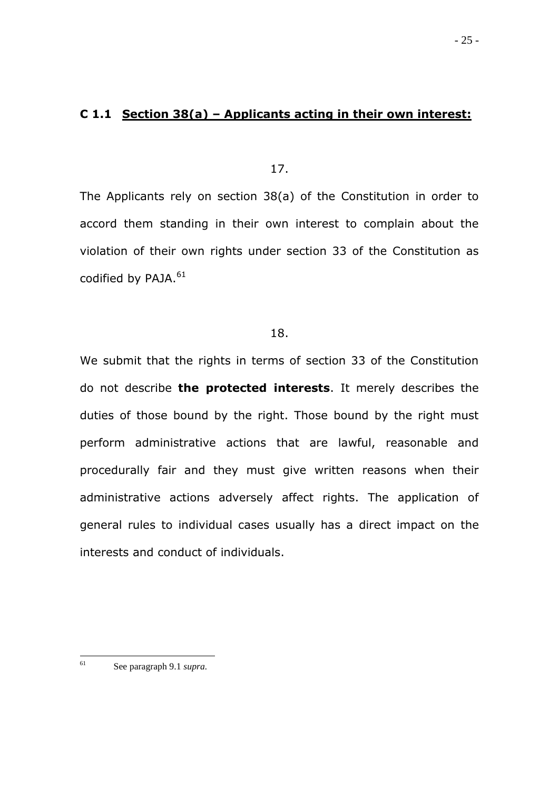## **C 1.1 Section 38(a) – Applicants acting in their own interest:**

17.

The Applicants rely on section 38(a) of the Constitution in order to accord them standing in their own interest to complain about the violation of their own rights under section 33 of the Constitution as codified by PAJA.<sup>61</sup>

## 18.

We submit that the rights in terms of section 33 of the Constitution do not describe **the protected interests**. It merely describes the duties of those bound by the right. Those bound by the right must perform administrative actions that are lawful, reasonable and procedurally fair and they must give written reasons when their administrative actions adversely affect rights. The application of general rules to individual cases usually has a direct impact on the interests and conduct of individuals.

<sup>61</sup> <sup>61</sup> See paragraph 9.1 *supra.*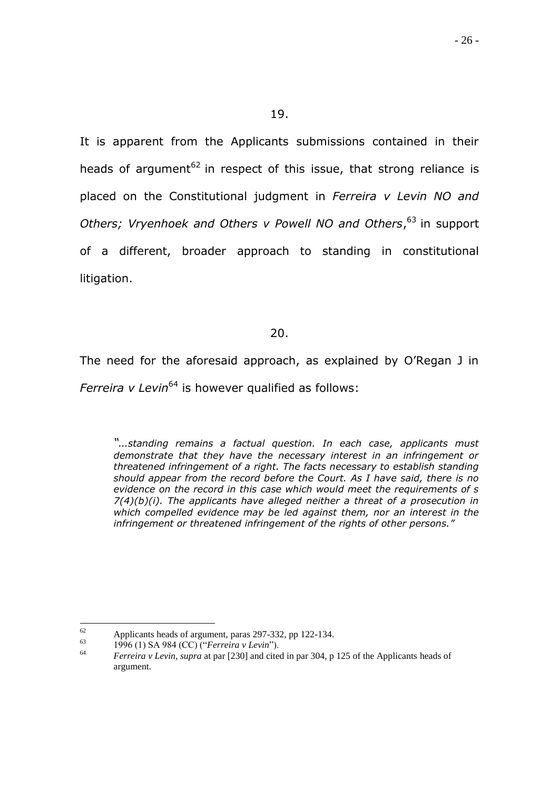It is apparent from the Applicants submissions contained in their heads of argument<sup>62</sup> in respect of this issue, that strong reliance is placed on the Constitutional judgment in *Ferreira v Levin NO and Others; Vryenhoek and Others v Powell NO and Others*, <sup>63</sup> in support of a different, broader approach to standing in constitutional litigation.

## 20.

The need for the aforesaid approach, as explained by O"Regan J in *Ferreira v Levin*<sup>64</sup> is however qualified as follows:

*"…standing remains a factual question. In each case, applicants must demonstrate that they have the necessary interest in an infringement or threatened infringement of a right. The facts necessary to establish standing should appear from the record before the Court. As I have said, there is no evidence on the record in this case which would meet the requirements of s 7(4)(b)(i). The applicants have alleged neither a threat of a prosecution in which compelled evidence may be led against them, nor an interest in the infringement or threatened infringement of the rights of other persons."*

<sup>62</sup> 62 Applicants heads of argument, paras 297-332, pp 122-134.

<sup>&</sup>lt;sup>63</sup> 1996 (1) SA 984 (CC) ("*Ferreira v Levin*").<br> *Ferreira v Levin* supra at par [230] and cite

<sup>64</sup> *Ferreira v Levin, supra* at par [230] and cited in par 304, p 125 of the Applicants heads of argument.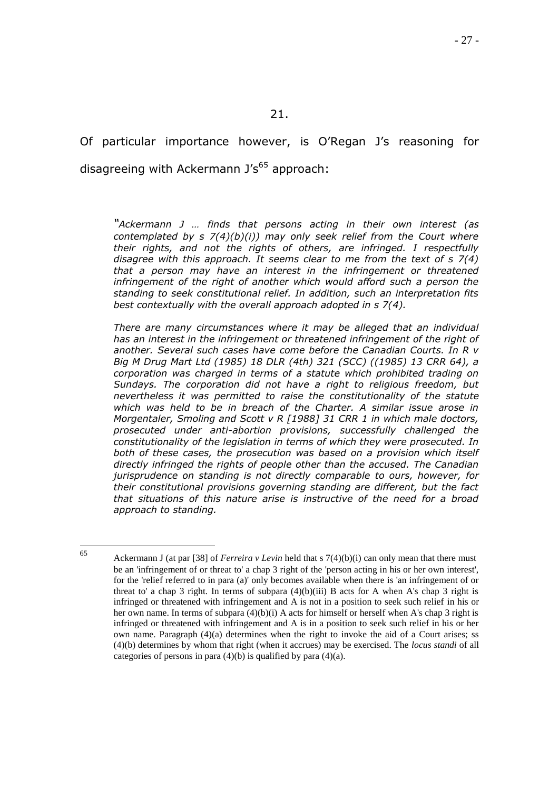Of particular importance however, is O'Regan J's reasoning for disagreeing with Ackermann  $J's^{65}$  approach:

*"Ackermann J … finds that persons acting in their own interest (as contemplated by s 7(4)(b)(i)) may only seek relief from the Court where their rights, and not the rights of others, are infringed. I respectfully disagree with this approach. It seems clear to me from the text of s 7(4) that a person may have an interest in the infringement or threatened*  infringement of the right of another which would afford such a person the *standing to seek constitutional relief. In addition, such an interpretation fits best contextually with the overall approach adopted in s 7(4).*

*There are many circumstances where it may be alleged that an individual has an interest in the infringement or threatened infringement of the right of another. Several such cases have come before the Canadian Courts. In R v Big M Drug Mart Ltd (1985) 18 DLR (4th) 321 (SCC) ((1985) 13 CRR 64), a corporation was charged in terms of a statute which prohibited trading on Sundays. The corporation did not have a right to religious freedom, but nevertheless it was permitted to raise the constitutionality of the statute which was held to be in breach of the Charter. A similar issue arose in Morgentaler, Smoling and Scott v R [1988] 31 CRR 1 in which male doctors, prosecuted under anti-abortion provisions, successfully challenged the constitutionality of the legislation in terms of which they were prosecuted. In both of these cases, the prosecution was based on a provision which itself directly infringed the rights of people other than the accused. The Canadian jurisprudence on standing is not directly comparable to ours, however, for their constitutional provisions governing standing are different, but the fact that situations of this nature arise is instructive of the need for a broad approach to standing.*

65

<sup>65</sup> Ackermann J (at par [38] of *Ferreira v Levin* held that s 7(4)(b)(i) can only mean that there must be an 'infringement of or threat to' a chap 3 right of the 'person acting in his or her own interest', for the 'relief referred to in para (a)' only becomes available when there is 'an infringement of or threat to' a chap 3 right. In terms of subpara  $(4)(b)(iii)$  B acts for A when A's chap 3 right is infringed or threatened with infringement and A is not in a position to seek such relief in his or her own name. In terms of subpara (4)(b)(i) A acts for himself or herself when A's chap 3 right is infringed or threatened with infringement and A is in a position to seek such relief in his or her own name. Paragraph  $(4)(a)$  determines when the right to invoke the aid of a Court arises; ss (4)(b) determines by whom that right (when it accrues) may be exercised. The *locus standi* of all categories of persons in para  $(4)(b)$  is qualified by para  $(4)(a)$ .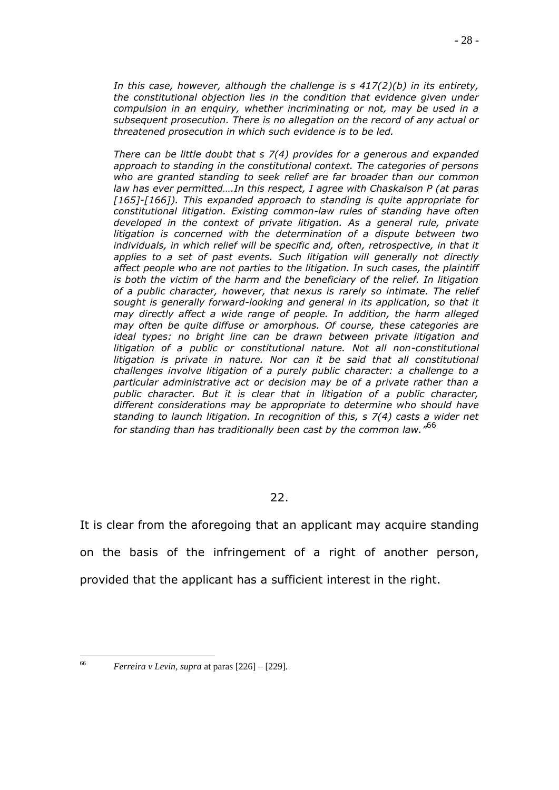*In this case, however, although the challenge is s 417(2)(b) in its entirety, the constitutional objection lies in the condition that evidence given under compulsion in an enquiry, whether incriminating or not, may be used in a subsequent prosecution. There is no allegation on the record of any actual or threatened prosecution in which such evidence is to be led.*

*There can be little doubt that s 7(4) provides for a generous and expanded approach to standing in the constitutional context. The categories of persons who are granted standing to seek relief are far broader than our common law has ever permitted….In this respect, I agree with Chaskalson P (at paras*  [165]-[166]). This expanded approach to standing is quite appropriate for *constitutional litigation. Existing common-law rules of standing have often developed in the context of private litigation. As a general rule, private litigation is concerned with the determination of a dispute between two*  individuals, in which relief will be specific and, often, retrospective, in that it applies to a set of past events. Such litigation will generally not directly *affect people who are not parties to the litigation. In such cases, the plaintiff is both the victim of the harm and the beneficiary of the relief. In litigation of a public character, however, that nexus is rarely so intimate. The relief sought is generally forward-looking and general in its application, so that it may directly affect a wide range of people. In addition, the harm alleged may often be quite diffuse or amorphous. Of course, these categories are ideal types: no bright line can be drawn between private litigation and litigation of a public or constitutional nature. Not all non-constitutional*  litigation is private in nature. Nor can it be said that all constitutional *challenges involve litigation of a purely public character: a challenge to a particular administrative act or decision may be of a private rather than a public character. But it is clear that in litigation of a public character, different considerations may be appropriate to determine who should have standing to launch litigation. In recognition of this, s 7(4) casts a wider net for standing than has traditionally been cast by the common law."* 66

22.

It is clear from the aforegoing that an applicant may acquire standing on the basis of the infringement of a right of another person, provided that the applicant has a sufficient interest in the right.

66

<sup>66</sup> *Ferreira v Levin, supra* at paras [226] – [229].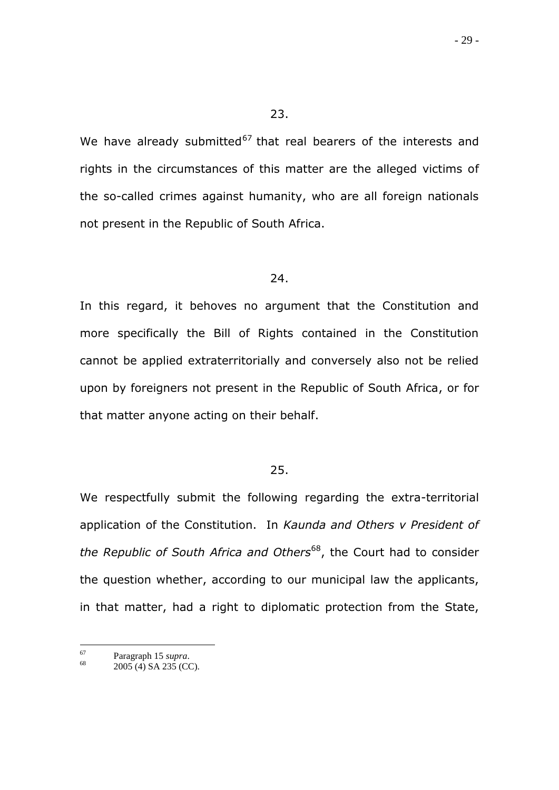23.

We have already submitted<sup>67</sup> that real bearers of the interests and rights in the circumstances of this matter are the alleged victims of the so-called crimes against humanity, who are all foreign nationals not present in the Republic of South Africa.

#### 24.

In this regard, it behoves no argument that the Constitution and more specifically the Bill of Rights contained in the Constitution cannot be applied extraterritorially and conversely also not be relied upon by foreigners not present in the Republic of South Africa, or for that matter anyone acting on their behalf.

#### 25.

We respectfully submit the following regarding the extra-territorial application of the Constitution. In *Kaunda and Others v President of the Republic of South Africa and Others*<sup>68</sup>, the Court had to consider the question whether, according to our municipal law the applicants, in that matter, had a right to diplomatic protection from the State,

 $67\,$  $^{67}$  Paragraph 15 *supra*.<br>  $^{68}$  2005 (4) SA 225 (CO

<sup>2005 (4)</sup> SA 235 (CC).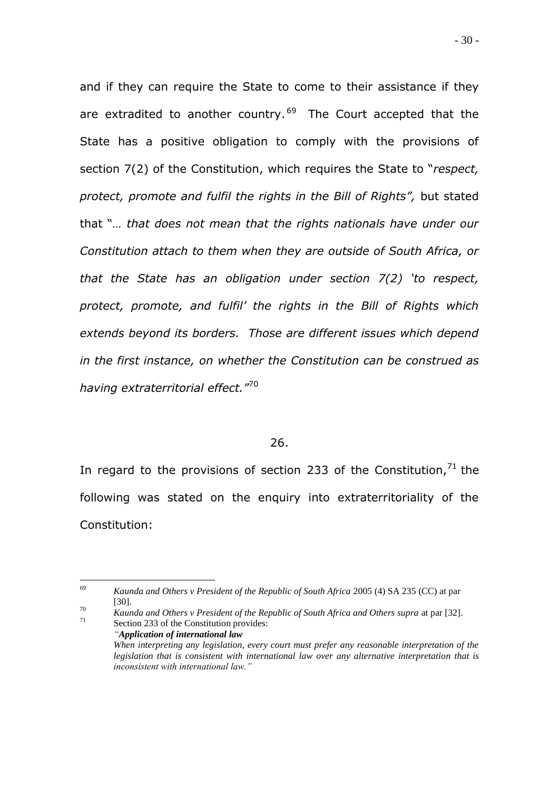and if they can require the State to come to their assistance if they are extradited to another country.<sup>69</sup> The Court accepted that the State has a positive obligation to comply with the provisions of section 7(2) of the Constitution, which requires the State to "*respect, protect, promote and fulfil the rights in the Bill of Rights",* but stated that "*… that does not mean that the rights nationals have under our Constitution attach to them when they are outside of South Africa, or that the State has an obligation under section 7(2) "to respect, protect, promote, and fulfil" the rights in the Bill of Rights which extends beyond its borders. Those are different issues which depend in the first instance, on whether the Constitution can be construed as having extraterritorial effect."*<sup>70</sup>

### 26.

In regard to the provisions of section 233 of the Constitution,  $71$  the following was stated on the enquiry into extraterritoriality of the Constitution:

<sup>70</sup> *Kaunda and Others v President of the Republic of South Africa and Others supra at par [32].*<br><sup>71</sup> Section 233 of the Constitution provides: Section 233 of the Constitution provides:

<sup>69</sup> <sup>69</sup> *Kaunda and Others v President of the Republic of South Africa* 2005 (4) SA 235 (CC) at par [30].

*<sup>&</sup>quot;Application of international law When interpreting any legislation, every court must prefer any reasonable interpretation of the legislation that is consistent with international law over any alternative interpretation that is inconsistent with international law."*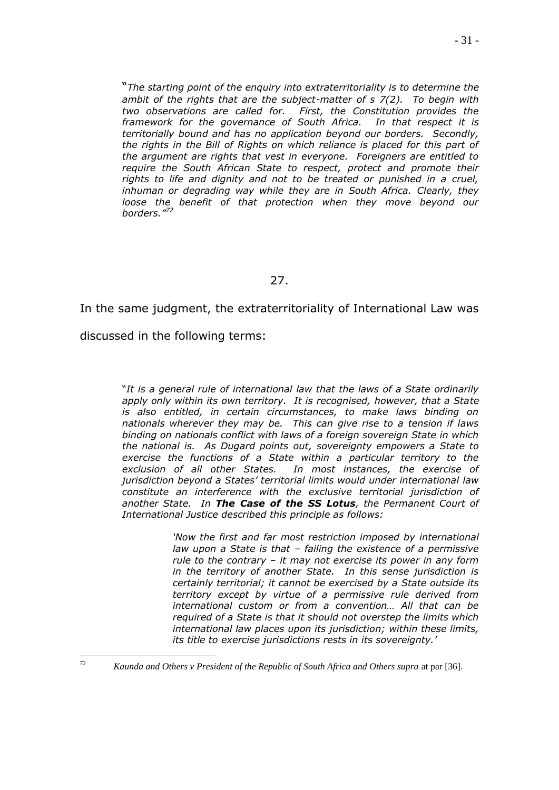"*The starting point of the enquiry into extraterritoriality is to determine the ambit of the rights that are the subject-matter of s 7(2). To begin with two observations are called for. First, the Constitution provides the framework for the governance of South Africa. In that respect it is territorially bound and has no application beyond our borders. Secondly, the rights in the Bill of Rights on which reliance is placed for this part of the argument are rights that vest in everyone. Foreigners are entitled to require the South African State to respect, protect and promote their rights to life and dignity and not to be treated or punished in a cruel, inhuman or degrading way while they are in South Africa. Clearly, they*  loose the benefit of that protection when they move beyond our *borders."<sup>72</sup>*

## 27.

In the same judgment, the extraterritoriality of International Law was

discussed in the following terms:

"*It is a general rule of international law that the laws of a State ordinarily apply only within its own territory. It is recognised, however, that a State is also entitled, in certain circumstances, to make laws binding on nationals wherever they may be. This can give rise to a tension if laws binding on nationals conflict with laws of a foreign sovereign State in which the national is. As Dugard points out, sovereignty empowers a State to exercise the functions of a State within a particular territory to the exclusion of all other States. In most instances, the exercise of jurisdiction beyond a States" territorial limits would under international law constitute an interference with the exclusive territorial jurisdiction of another State. In The Case of the SS Lotus, the Permanent Court of International Justice described this principle as follows:*

> *Now the first and far most restriction imposed by international law upon a State is that – failing the existence of a permissive rule to the contrary – it may not exercise its power in any form in the territory of another State. In this sense jurisdiction is certainly territorial; it cannot be exercised by a State outside its territory except by virtue of a permissive rule derived from international custom or from a convention… All that can be required of a State is that it should not overstep the limits which international law places upon its jurisdiction; within these limits, its title to exercise jurisdictions rests in its sovereignty."*

 $72$ <sup>72</sup> *Kaunda and Others v President of the Republic of South Africa and Others supra* at par [36].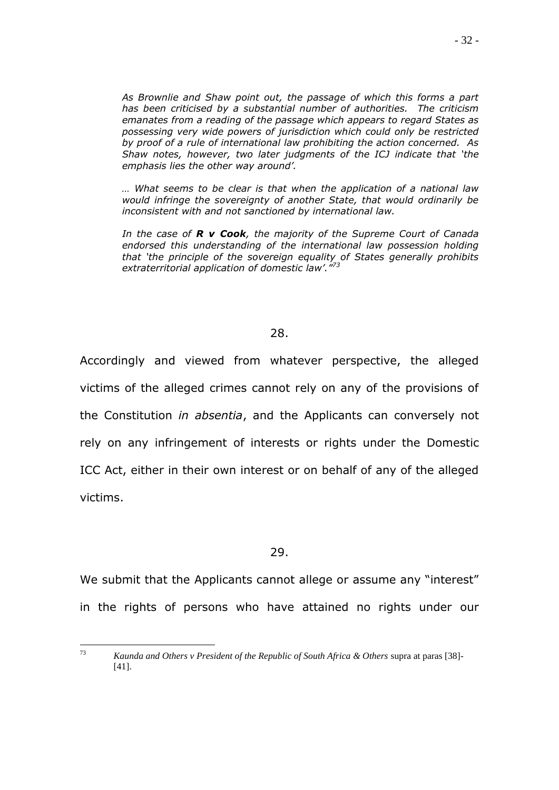*As Brownlie and Shaw point out, the passage of which this forms a part has been criticised by a substantial number of authorities. The criticism emanates from a reading of the passage which appears to regard States as possessing very wide powers of jurisdiction which could only be restricted by proof of a rule of international law prohibiting the action concerned. As Shaw notes, however, two later judgments of the ICJ indicate that "the emphasis lies the other way around".* 

*… What seems to be clear is that when the application of a national law would infringe the sovereignty of another State, that would ordinarily be inconsistent with and not sanctioned by international law.* 

*In the case of R v Cook, the majority of the Supreme Court of Canada endorsed this understanding of the international law possession holding that "the principle of the sovereign equality of States generally prohibits extraterritorial application of domestic law"."<sup>73</sup>*

### 28.

Accordingly and viewed from whatever perspective, the alleged victims of the alleged crimes cannot rely on any of the provisions of the Constitution *in absentia*, and the Applicants can conversely not rely on any infringement of interests or rights under the Domestic ICC Act, either in their own interest or on behalf of any of the alleged victims.

#### 29.

We submit that the Applicants cannot allege or assume any "interest" in the rights of persons who have attained no rights under our

<sup>73</sup> <sup>73</sup> *Kaunda and Others v President of the Republic of South Africa & Others* supra at paras [38]- [41].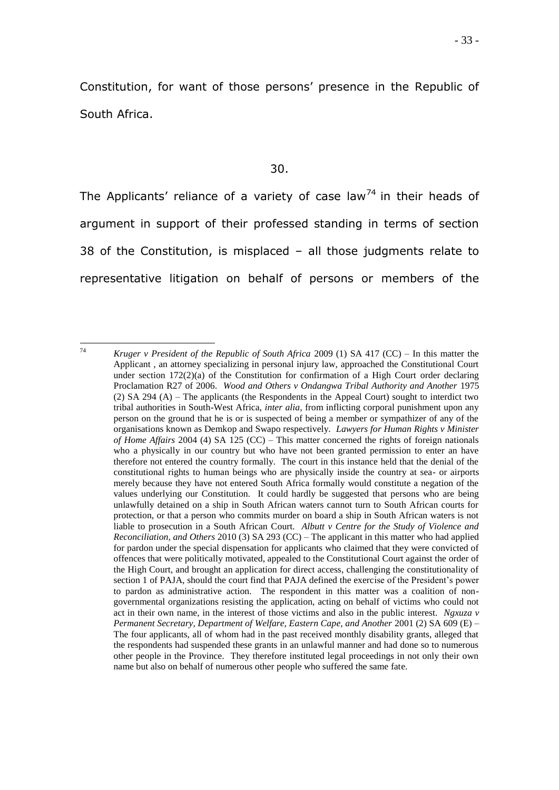Constitution, for want of those persons" presence in the Republic of South Africa.

The Applicants' reliance of a variety of case law<sup>74</sup> in their heads of argument in support of their professed standing in terms of section 38 of the Constitution, is misplaced – all those judgments relate to representative litigation on behalf of persons or members of the

<sup>74</sup> <sup>74</sup> *Kruger v President of the Republic of South Africa* 2009 (1) SA 417 (CC) – In this matter the Applicant , an attorney specializing in personal injury law, approached the Constitutional Court under section  $172(2)(a)$  of the Constitution for confirmation of a High Court order declaring Proclamation R27 of 2006. *Wood and Others v Ondangwa Tribal Authority and Another* 1975 (2) SA 294 (A) – The applicants (the Respondents in the Appeal Court) sought to interdict two tribal authorities in South-West Africa, *inter alia,* from inflicting corporal punishment upon any person on the ground that he is or is suspected of being a member or sympathizer of any of the organisations known as Demkop and Swapo respectively. *Lawyers for Human Rights v Minister of Home Affairs* 2004 (4) SA 125 (CC) – This matter concerned the rights of foreign nationals who a physically in our country but who have not been granted permission to enter an have therefore not entered the country formally. The court in this instance held that the denial of the constitutional rights to human beings who are physically inside the country at sea- or airports merely because they have not entered South Africa formally would constitute a negation of the values underlying our Constitution. It could hardly be suggested that persons who are being unlawfully detained on a ship in South African waters cannot turn to South African courts for protection, or that a person who commits murder on board a ship in South African waters is not liable to prosecution in a South African Court. *Albutt v Centre for the Study of Violence and Reconciliation, and Others* 2010 (3) SA 293 (CC) – The applicant in this matter who had applied for pardon under the special dispensation for applicants who claimed that they were convicted of offences that were politically motivated, appealed to the Constitutional Court against the order of the High Court, and brought an application for direct access, challenging the constitutionality of section 1 of PAJA, should the court find that PAJA defined the exercise of the President's power to pardon as administrative action. The respondent in this matter was a coalition of nongovernmental organizations resisting the application, acting on behalf of victims who could not act in their own name, in the interest of those victims and also in the public interest. *Ngxuza v Permanent Secretary, Department of Welfare, Eastern Cape, and Another 2001 (2) SA 609 (E) –* The four applicants, all of whom had in the past received monthly disability grants, alleged that the respondents had suspended these grants in an unlawful manner and had done so to numerous other people in the Province. They therefore instituted legal proceedings in not only their own name but also on behalf of numerous other people who suffered the same fate.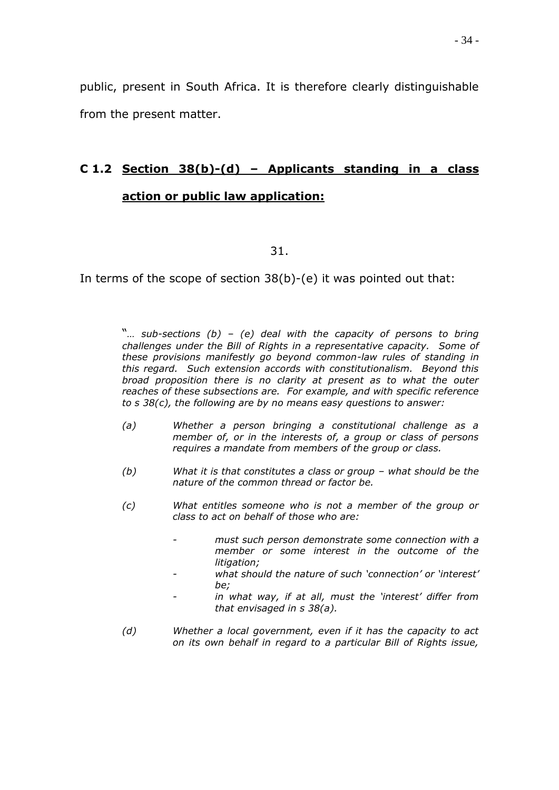public, present in South Africa. It is therefore clearly distinguishable from the present matter.

# **C 1.2 Section 38(b)-(d) – Applicants standing in a class action or public law application:**

31.

In terms of the scope of section 38(b)-(e) it was pointed out that:

"*… sub-sections (b) – (e) deal with the capacity of persons to bring challenges under the Bill of Rights in a representative capacity. Some of these provisions manifestly go beyond common-law rules of standing in this regard. Such extension accords with constitutionalism. Beyond this broad proposition there is no clarity at present as to what the outer reaches of these subsections are. For example, and with specific reference to s 38(c), the following are by no means easy questions to answer:*

- *(a) Whether a person bringing a constitutional challenge as a member of, or in the interests of, a group or class of persons requires a mandate from members of the group or class.*
- *(b) What it is that constitutes a class or group – what should be the nature of the common thread or factor be.*
- *(c) What entitles someone who is not a member of the group or class to act on behalf of those who are:*
	- *- must such person demonstrate some connection with a member or some interest in the outcome of the litigation;*
	- *- what should the nature of such "connection" or "interest" be;*
	- in what way, if at all, must the 'interest' differ from *that envisaged in s 38(a).*
- *(d) Whether a local government, even if it has the capacity to act on its own behalf in regard to a particular Bill of Rights issue,*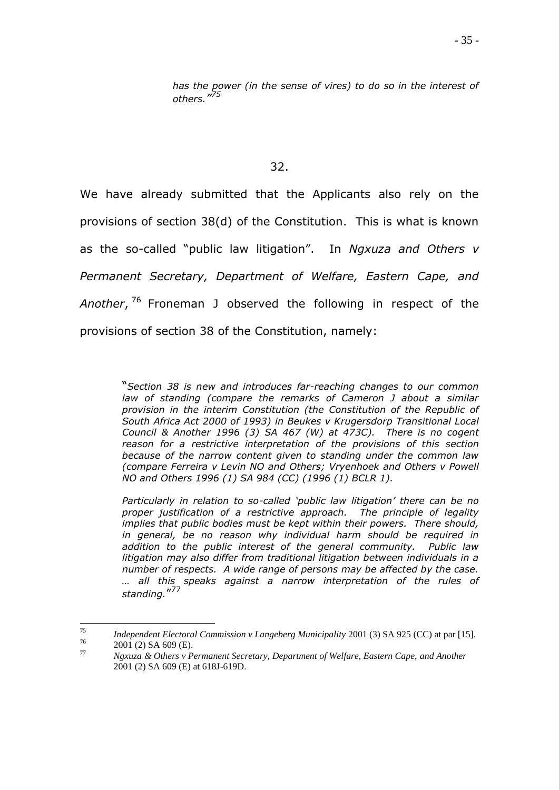*has the power (in the sense of vires) to do so in the interest of others." 75*

#### 32.

We have already submitted that the Applicants also rely on the provisions of section 38(d) of the Constitution. This is what is known as the so-called "public law litigation". In *Ngxuza and Others v Permanent Secretary, Department of Welfare, Eastern Cape, and Another*, <sup>76</sup> Froneman J observed the following in respect of the provisions of section 38 of the Constitution, namely:

> "*Section 38 is new and introduces far-reaching changes to our common law of standing (compare the remarks of Cameron J about a similar provision in the interim Constitution (the Constitution of the Republic of South Africa Act 2000 of 1993) in Beukes v Krugersdorp Transitional Local Council & Another 1996 (3) SA 467 (W) at 473C). There is no cogent reason for a restrictive interpretation of the provisions of this section because of the narrow content given to standing under the common law (compare Ferreira v Levin NO and Others; Vryenhoek and Others v Powell NO and Others 1996 (1) SA 984 (CC) (1996 (1) BCLR 1).*

> *Particularly in relation to so-called "public law litigation" there can be no proper justification of a restrictive approach. The principle of legality implies that public bodies must be kept within their powers. There should, in general, be no reason why individual harm should be required in addition to the public interest of the general community. Public law litigation may also differ from traditional litigation between individuals in a number of respects. A wide range of persons may be affected by the case. … all this speaks against a narrow interpretation of the rules of standing.*" 77

<sup>75</sup> <sup>75</sup> *Independent Electoral Commission v Langeberg Municipality* 2001 (3) SA 925 (CC) at par [15].  $^{76}$  2001 (2) SA 609 (E).<br>
Naxyza & Others y P

<sup>77</sup> *Ngxuza & Others v Permanent Secretary, Department of Welfare, Eastern Cape, and Another* 2001 (2) SA 609 (E) at 618J-619D.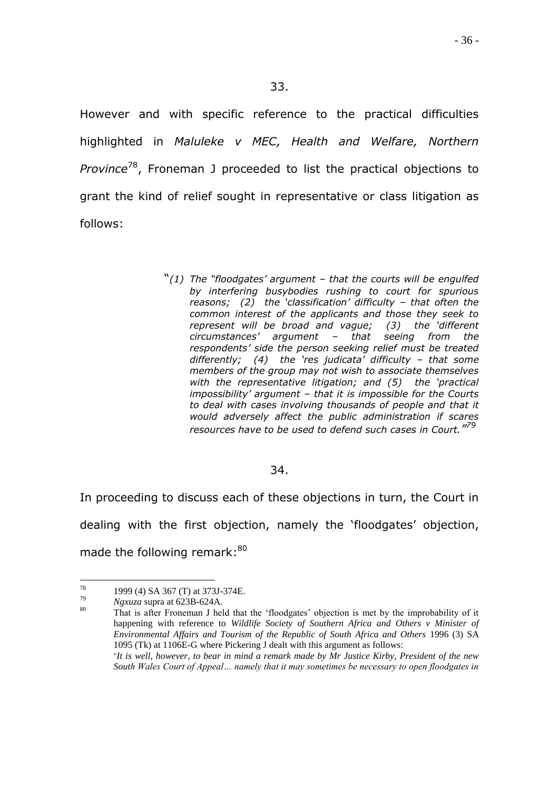However and with specific reference to the practical difficulties highlighted in *Maluleke v MEC, Health and Welfare, Northern Province*<sup>78</sup>, Froneman J proceeded to list the practical objections to grant the kind of relief sought in representative or class litigation as follows:

> "*(1) The "floodgates" argument – that the courts will be engulfed by interfering busybodies rushing to court for spurious reasons; (2) the "classification" difficulty – that often the common interest of the applicants and those they seek to represent will be broad and vague; (3) the "different circumstances" argument – that seeing from the respondents" side the person seeking relief must be treated differently; (4) the "res judicata" difficulty – that some members of the group may not wish to associate themselves with the representative litigation; and (5) the "practical impossibility" argument – that it is impossible for the Courts to deal with cases involving thousands of people and that it would adversely affect the public administration if scares resources have to be used to defend such cases in Court." 79*

## 34.

In proceeding to discuss each of these objections in turn, the Court in dealing with the first objection, namely the 'floodgates' objection, made the following remark:<sup>80</sup>

 $78\,$  $^{78}$  1999 (4) SA 367 (T) at 373J-374E.

<sup>79</sup> *Ngxuza* supra at 623B-624A.

That is after Froneman J held that the 'floodgates' objection is met by the improbability of it happening with reference to *Wildlife Society of Southern Africa and Others v Minister of Environmental Affairs and Tourism of the Republic of South Africa and Others* 1996 (3) SA 1095 (Tk) at 1106E-G where Pickering J dealt with this argument as follows: "*It is well, however, to bear in mind a remark made by Mr Justice Kirby, President of the new* 

*South Wales Court of Appeal… namely that it may sometimes be necessary to open floodgates in*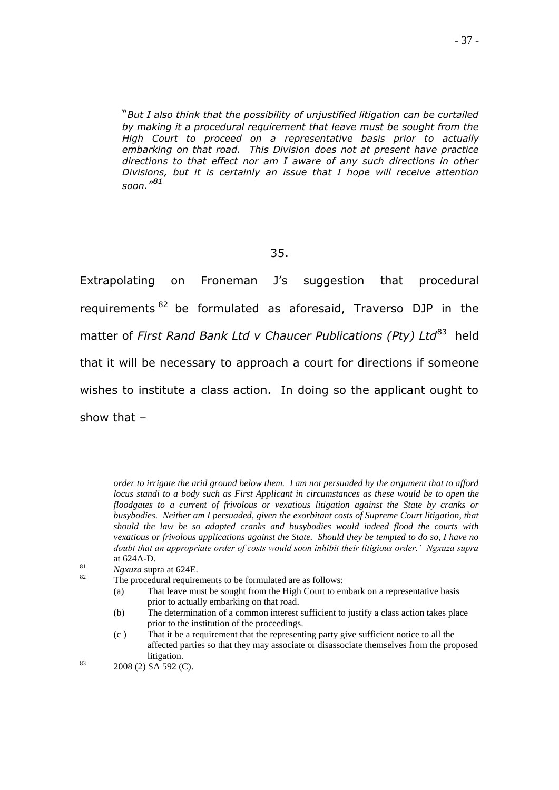"*But I also think that the possibility of unjustified litigation can be curtailed by making it a procedural requirement that leave must be sought from the High Court to proceed on a representative basis prior to actually embarking on that road. This Division does not at present have practice directions to that effect nor am I aware of any such directions in other Divisions, but it is certainly an issue that I hope will receive attention soon." 81*

#### 35.

Extrapolating on Froneman J's suggestion that procedural requirements<sup>82</sup> be formulated as aforesaid, Traverso DJP in the matter of *First Rand Bank Ltd v Chaucer Publications (Pty) Ltd*<sup>83</sup> held that it will be necessary to approach a court for directions if someone wishes to institute a class action. In doing so the applicant ought to show that –

<u>.</u>

- (b) The determination of a common interest sufficient to justify a class action takes place prior to the institution of the proceedings.
- (c ) That it be a requirement that the representing party give sufficient notice to all the affected parties so that they may associate or disassociate themselves from the proposed litigation.

*order to irrigate the arid ground below them. I am not persuaded by the argument that to afford locus standi to a body such as First Applicant in circumstances as these would be to open the floodgates to a current of frivolous or vexatious litigation against the State by cranks or busybodies. Neither am I persuaded, given the exorbitant costs of Supreme Court litigation, that should the law be so adapted cranks and busybodies would indeed flood the courts with vexatious or frivolous applications against the State. Should they be tempted to do so, I have no doubt that an appropriate order of costs would soon inhibit their litigious order.' Ngxuza supra* at 624A-D.

 $Ngxuza$  supra at 624E.

The procedural requirements to be formulated are as follows:

<sup>(</sup>a) That leave must be sought from the High Court to embark on a representative basis prior to actually embarking on that road.

 $83$  2008 (2) SA 592 (C).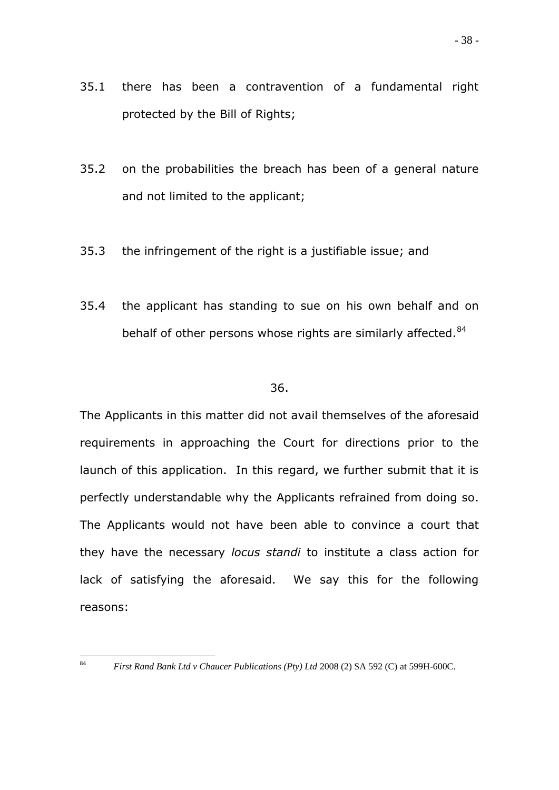- 35.1 there has been a contravention of a fundamental right protected by the Bill of Rights;
- 35.2 on the probabilities the breach has been of a general nature and not limited to the applicant;
- 35.3 the infringement of the right is a justifiable issue; and
- 35.4 the applicant has standing to sue on his own behalf and on behalf of other persons whose rights are similarly affected.<sup>84</sup>

## 36.

The Applicants in this matter did not avail themselves of the aforesaid requirements in approaching the Court for directions prior to the launch of this application. In this regard, we further submit that it is perfectly understandable why the Applicants refrained from doing so. The Applicants would not have been able to convince a court that they have the necessary *locus standi* to institute a class action for lack of satisfying the aforesaid. We say this for the following reasons:

<sup>84</sup> 

<sup>84</sup> *First Rand Bank Ltd v Chaucer Publications (Pty) Ltd* 2008 (2) SA 592 (C) at 599H-600C.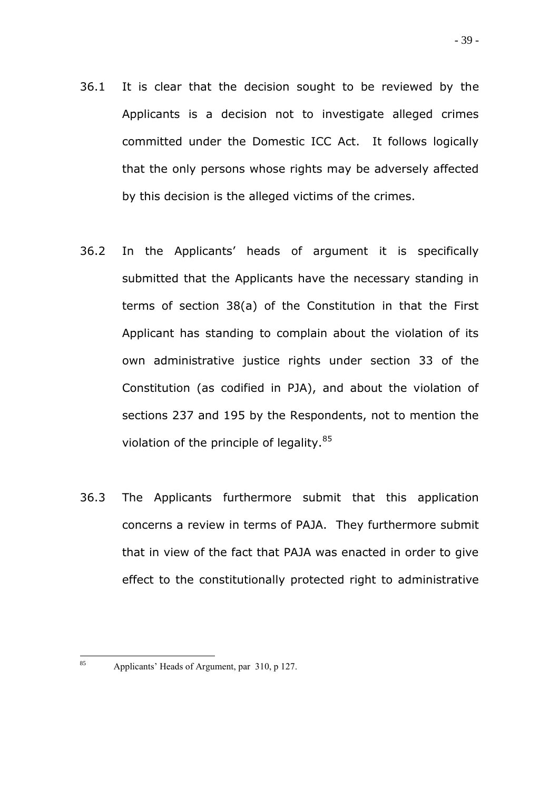- 36.1 It is clear that the decision sought to be reviewed by the Applicants is a decision not to investigate alleged crimes committed under the Domestic ICC Act. It follows logically that the only persons whose rights may be adversely affected by this decision is the alleged victims of the crimes.
- 36.2 In the Applicants" heads of argument it is specifically submitted that the Applicants have the necessary standing in terms of section 38(a) of the Constitution in that the First Applicant has standing to complain about the violation of its own administrative justice rights under section 33 of the Constitution (as codified in PJA), and about the violation of sections 237 and 195 by the Respondents, not to mention the violation of the principle of legality.<sup>85</sup>
- 36.3 The Applicants furthermore submit that this application concerns a review in terms of PAJA. They furthermore submit that in view of the fact that PAJA was enacted in order to give effect to the constitutionally protected right to administrative

<sup>85</sup> 

Applicants' Heads of Argument, par 310, p 127.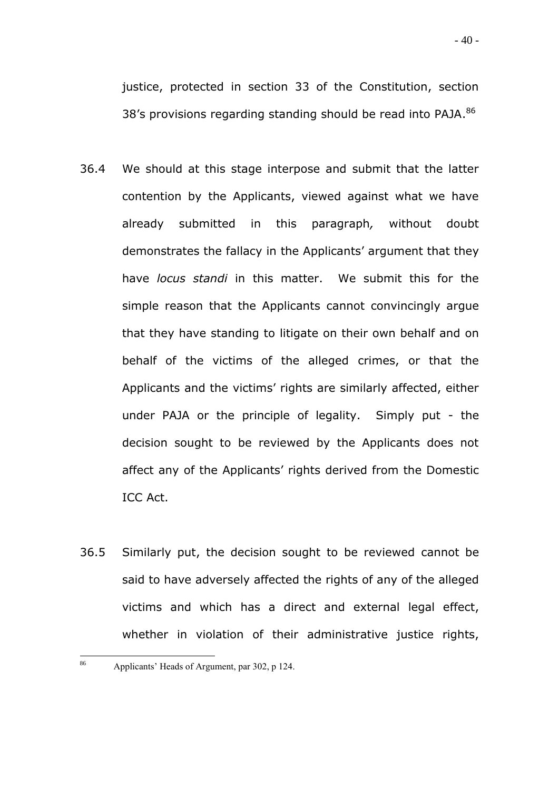- 36.4 We should at this stage interpose and submit that the latter contention by the Applicants, viewed against what we have already submitted in this paragraph*,* without doubt demonstrates the fallacy in the Applicants' argument that they have *locus standi* in this matter. We submit this for the simple reason that the Applicants cannot convincingly argue that they have standing to litigate on their own behalf and on behalf of the victims of the alleged crimes, or that the Applicants and the victims' rights are similarly affected, either under PAJA or the principle of legality. Simply put - the decision sought to be reviewed by the Applicants does not affect any of the Applicants' rights derived from the Domestic ICC Act.
- 36.5 Similarly put, the decision sought to be reviewed cannot be said to have adversely affected the rights of any of the alleged victims and which has a direct and external legal effect, whether in violation of their administrative justice rights,

<sup>86</sup> Applicants' Heads of Argument, par 302, p 124.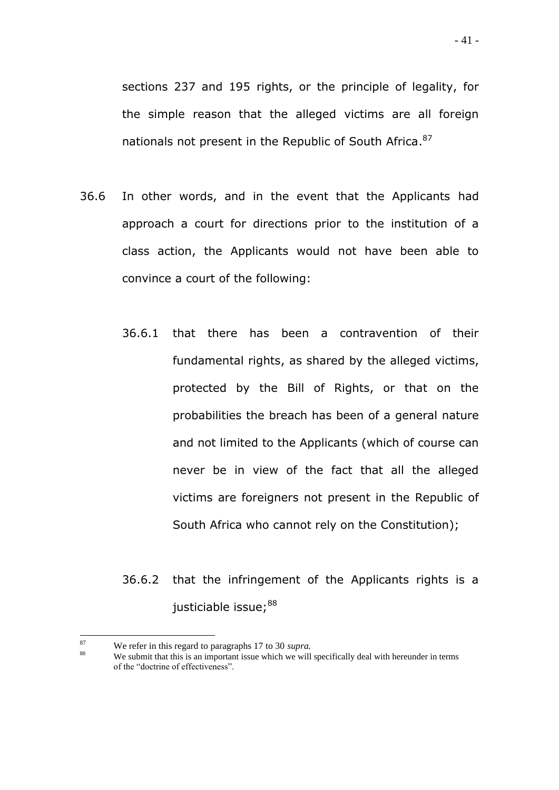sections 237 and 195 rights, or the principle of legality, for the simple reason that the alleged victims are all foreign nationals not present in the Republic of South Africa.<sup>87</sup>

- 36.6 In other words, and in the event that the Applicants had approach a court for directions prior to the institution of a class action, the Applicants would not have been able to convince a court of the following:
	- 36.6.1 that there has been a contravention of their fundamental rights, as shared by the alleged victims, protected by the Bill of Rights, or that on the probabilities the breach has been of a general nature and not limited to the Applicants (which of course can never be in view of the fact that all the alleged victims are foreigners not present in the Republic of South Africa who cannot rely on the Constitution);
	- 36.6.2 that the infringement of the Applicants rights is a justiciable issue;<sup>88</sup>

<sup>87</sup> <sup>87</sup> We refer in this regard to paragraphs 17 to 30 *supra*.<br><sup>88</sup> We only that this is an important issue which we will

We submit that this is an important issue which we will specifically deal with hereunder in terms of the "doctrine of effectiveness".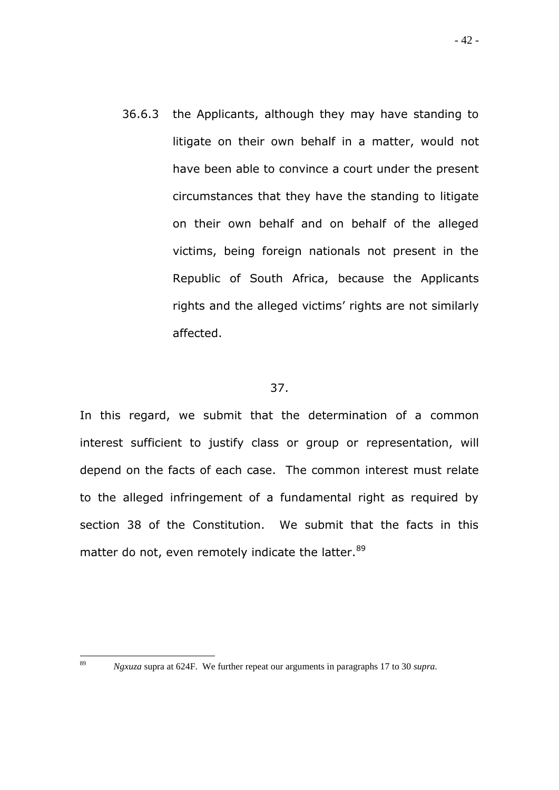36.6.3 the Applicants, although they may have standing to litigate on their own behalf in a matter, would not have been able to convince a court under the present circumstances that they have the standing to litigate on their own behalf and on behalf of the alleged victims, being foreign nationals not present in the Republic of South Africa, because the Applicants rights and the alleged victims' rights are not similarly affected.

## 37.

In this regard, we submit that the determination of a common interest sufficient to justify class or group or representation, will depend on the facts of each case. The common interest must relate to the alleged infringement of a fundamental right as required by section 38 of the Constitution. We submit that the facts in this matter do not, even remotely indicate the latter.<sup>89</sup>

<sup>89</sup> 

<sup>89</sup> *Ngxuza* supra at 624F. We further repeat our arguments in paragraphs 17 to 30 *supra*.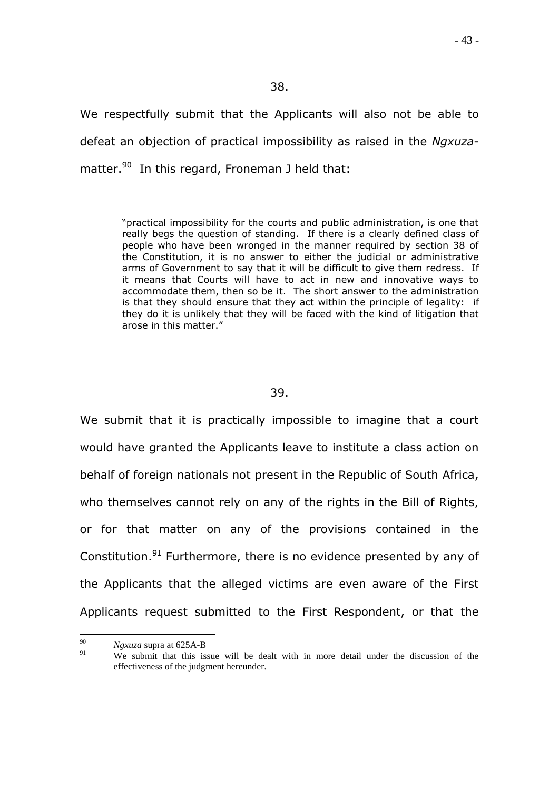We respectfully submit that the Applicants will also not be able to defeat an objection of practical impossibility as raised in the *Ngxuza*matter.<sup>90</sup> In this regard, Froneman J held that:

> "practical impossibility for the courts and public administration, is one that really begs the question of standing. If there is a clearly defined class of people who have been wronged in the manner required by section 38 of the Constitution, it is no answer to either the judicial or administrative arms of Government to say that it will be difficult to give them redress. If it means that Courts will have to act in new and innovative ways to accommodate them, then so be it. The short answer to the administration is that they should ensure that they act within the principle of legality: if they do it is unlikely that they will be faced with the kind of litigation that arose in this matter."

#### 39.

We submit that it is practically impossible to imagine that a court would have granted the Applicants leave to institute a class action on behalf of foreign nationals not present in the Republic of South Africa, who themselves cannot rely on any of the rights in the Bill of Rights, or for that matter on any of the provisions contained in the Constitution.<sup>91</sup> Furthermore, there is no evidence presented by any of the Applicants that the alleged victims are even aware of the First Applicants request submitted to the First Respondent, or that the

<sup>90</sup>  $\frac{90}{91}$  *Ngxuza* supra at 625A-B

We submit that this issue will be dealt with in more detail under the discussion of the effectiveness of the judgment hereunder.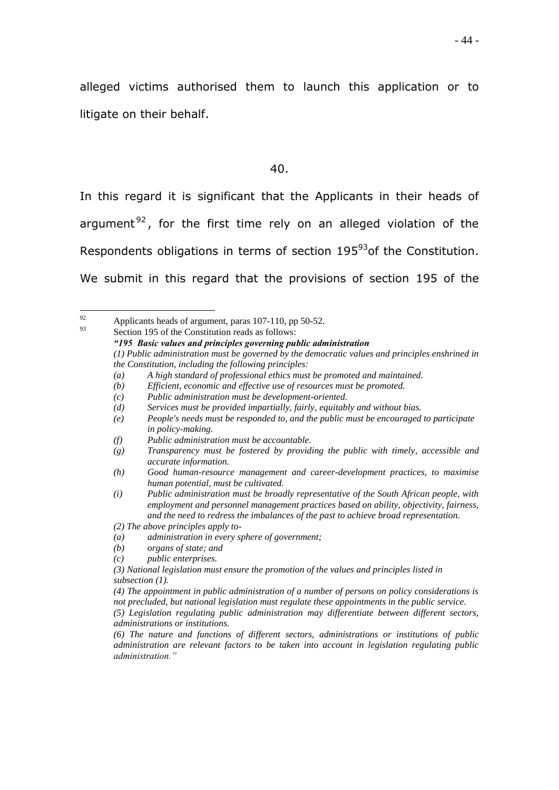alleged victims authorised them to launch this application or to litigate on their behalf.

40.

In this regard it is significant that the Applicants in their heads of argument<sup>92</sup>, for the first time rely on an alleged violation of the Respondents obligations in terms of section 195<sup>93</sup> of the Constitution. We submit in this regard that the provisions of section 195 of the

92  $\frac{92}{93}$  Applicants heads of argument, paras 107-110, pp 50-52.

Section 195 of the Constitution reads as follows: *"195 Basic values and principles governing public administration (1) Public administration must be governed by the democratic values and principles enshrined in the Constitution, including the following principles: (a) A high standard of professional ethics must be promoted and maintained. (b) Efficient, economic and effective use of resources must be promoted. (c) Public administration must be development-oriented. (d) Services must be provided impartially, fairly, equitably and without bias. (e) People's needs must be responded to, and the public must be encouraged to participate in policy-making. (f) Public administration must be accountable. (g) Transparency must be fostered by providing the public with timely, accessible and accurate information. (h) Good human-resource management and career-development practices, to maximise human potential, must be cultivated. (i) Public administration must be broadly representative of the South African people, with employment and personnel management practices based on ability, objectivity, fairness, and the need to redress the imbalances of the past to achieve broad representation. (2) The above principles apply to- (a) administration in every sphere of government; (b) organs of state; and (c) public enterprises. (3) National legislation must ensure the promotion of the values and principles listed in subsection (1). (4) The appointment in public administration of a number of persons on policy considerations is not precluded, but national legislation must regulate these appointments in the public service. (5) Legislation regulating public administration may differentiate between different sectors, administrations or institutions. (6) The nature and functions of different sectors, administrations or institutions of public administration are relevant factors to be taken into account in legislation regulating public administration."*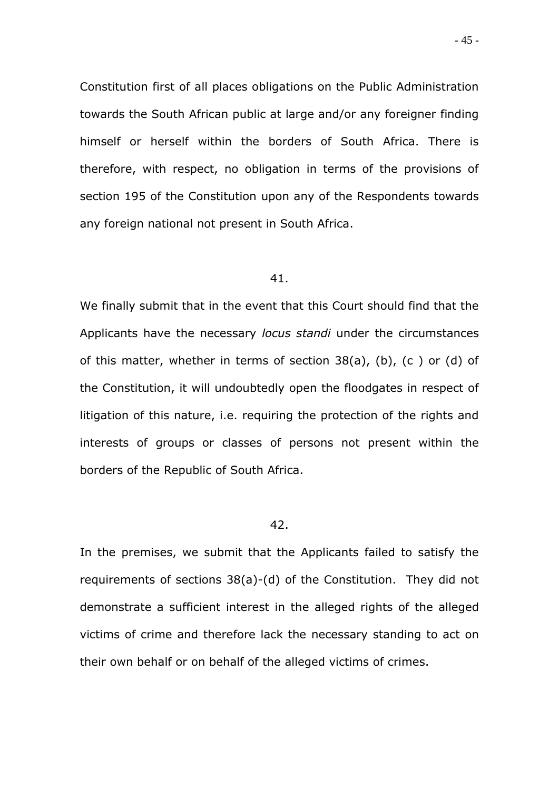Constitution first of all places obligations on the Public Administration towards the South African public at large and/or any foreigner finding himself or herself within the borders of South Africa. There is therefore, with respect, no obligation in terms of the provisions of section 195 of the Constitution upon any of the Respondents towards any foreign national not present in South Africa.

#### 41.

We finally submit that in the event that this Court should find that the Applicants have the necessary *locus standi* under the circumstances of this matter, whether in terms of section 38(a), (b), (c ) or (d) of the Constitution, it will undoubtedly open the floodgates in respect of litigation of this nature, i.e. requiring the protection of the rights and interests of groups or classes of persons not present within the borders of the Republic of South Africa.

#### 42.

In the premises, we submit that the Applicants failed to satisfy the requirements of sections 38(a)-(d) of the Constitution. They did not demonstrate a sufficient interest in the alleged rights of the alleged victims of crime and therefore lack the necessary standing to act on their own behalf or on behalf of the alleged victims of crimes.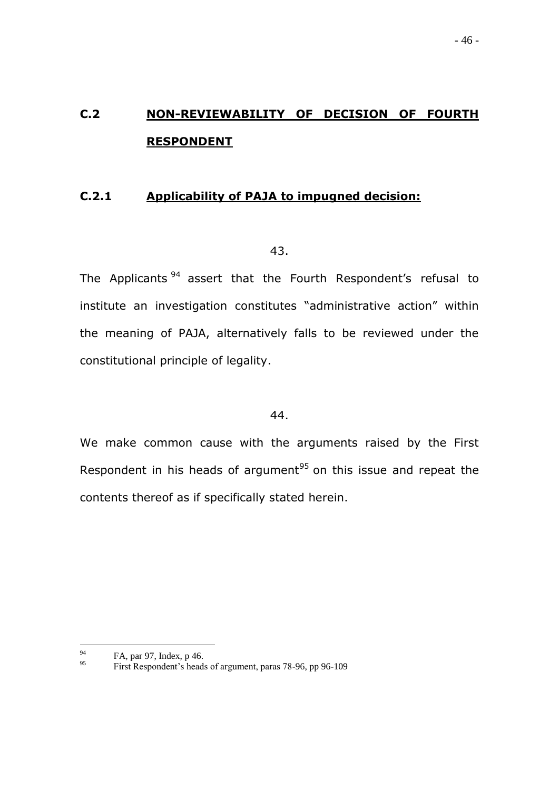# **C.2 NON-REVIEWABILITY OF DECISION OF FOURTH RESPONDENT**

## **C.2.1 Applicability of PAJA to impugned decision:**

#### 43.

The Applicants<sup>94</sup> assert that the Fourth Respondent's refusal to institute an investigation constitutes "administrative action" within the meaning of PAJA, alternatively falls to be reviewed under the constitutional principle of legality.

## 44.

We make common cause with the arguments raised by the First Respondent in his heads of argument $95$  on this issue and repeat the contents thereof as if specifically stated herein.

<sup>94</sup>  $^{94}$  FA, par 97, Index, p 46.

<sup>95</sup> First Respondent"s heads of argument, paras 78-96, pp 96-109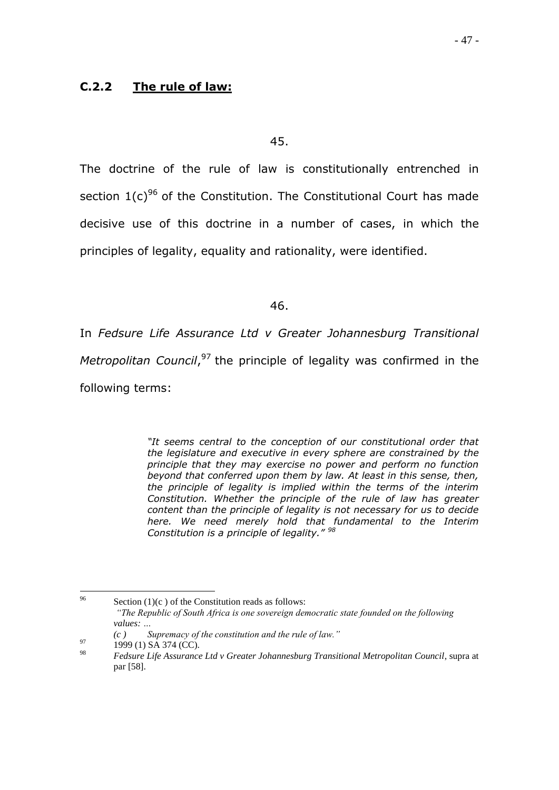## **C.2.2 The rule of law:**

45.

The doctrine of the rule of law is constitutionally entrenched in section  $1(c)^{96}$  of the Constitution. The Constitutional Court has made decisive use of this doctrine in a number of cases, in which the principles of legality, equality and rationality, were identified.

46.

In *Fedsure Life Assurance Ltd v Greater Johannesburg Transitional Metropolitan Council*, <sup>97</sup> the principle of legality was confirmed in the following terms:

> *"It seems central to the conception of our constitutional order that the legislature and executive in every sphere are constrained by the principle that they may exercise no power and perform no function beyond that conferred upon them by law. At least in this sense, then, the principle of legality is implied within the terms of the interim Constitution. Whether the principle of the rule of law has greater content than the principle of legality is not necessary for us to decide here. We need merely hold that fundamental to the Interim Constitution is a principle of legality." <sup>98</sup>*

<sup>96</sup> Section  $(1)(c)$  of the Constitution reads as follows: *"The Republic of South Africa is one sovereign democratic state founded on the following values: …*

*<sup>(</sup>c ) Supremacy of the constitution and the rule of law."*

 $^{97}$  1999 (1) SA 374 (CC).

<sup>98</sup> *Fedsure Life Assurance Ltd v Greater Johannesburg Transitional Metropolitan Council*, supra at par [58].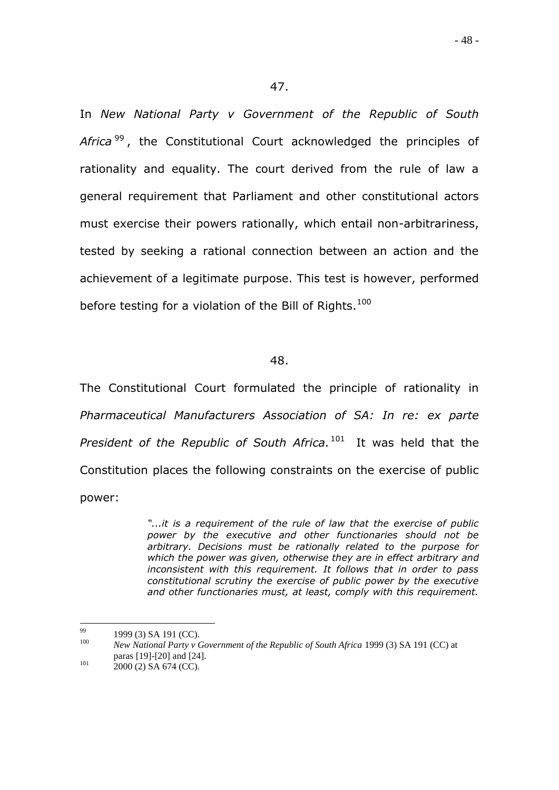In *New National Party v Government of the Republic of South*  Africa<sup>99</sup>, the Constitutional Court acknowledged the principles of rationality and equality. The court derived from the rule of law a general requirement that Parliament and other constitutional actors must exercise their powers rationally, which entail non-arbitrariness, tested by seeking a rational connection between an action and the achievement of a legitimate purpose. This test is however, performed before testing for a violation of the Bill of Rights.<sup>100</sup>

#### 48.

The Constitutional Court formulated the principle of rationality in *Pharmaceutical Manufacturers Association of SA: In re: ex parte President of the Republic of South Africa.* <sup>101</sup> It was held that the Constitution places the following constraints on the exercise of public power:

> *"...it is a requirement of the rule of law that the exercise of public power by the executive and other functionaries should not be arbitrary. Decisions must be rationally related to the purpose for which the power was given, otherwise they are in effect arbitrary and inconsistent with this requirement. It follows that in order to pass constitutional scrutiny the exercise of public power by the executive and other functionaries must, at least, comply with this requirement.*

<sup>99</sup>  $^{99}$  1999 (3) SA 191 (CC).

<sup>100</sup> *New National Party v Government of the Republic of South Africa* 1999 (3) SA 191 (CC) at paras [19]-[20] and [24].

 $^{101}$  2000 (2) SA 674 (CC).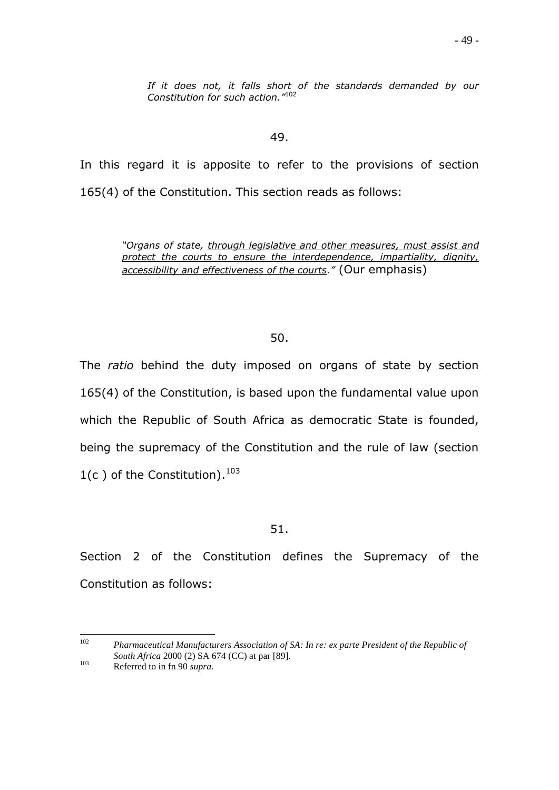*If it does not, it falls short of the standards demanded by our Constitution for such action."*<sup>102</sup>

#### 49.

In this regard it is apposite to refer to the provisions of section 165(4) of the Constitution. This section reads as follows:

> *"Organs of state, through legislative and other measures, must assist and protect the courts to ensure the interdependence, impartiality, dignity, accessibility and effectiveness of the courts."* (Our emphasis)

## 50.

The *ratio* behind the duty imposed on organs of state by section 165(4) of the Constitution, is based upon the fundamental value upon which the Republic of South Africa as democratic State is founded, being the supremacy of the Constitution and the rule of law (section  $1(c)$  of the Constitution).  $^{103}$ 

## 51.

Section 2 of the Constitution defines the Supremacy of the Constitution as follows:

 $102<sup>°</sup>$ <sup>102</sup> *Pharmaceutical Manufacturers Association of SA: In re: ex parte President of the Republic of South Africa* 2000 (2) SA 674 (CC) at par [89].

<sup>103</sup> Referred to in fn 90 *supra*.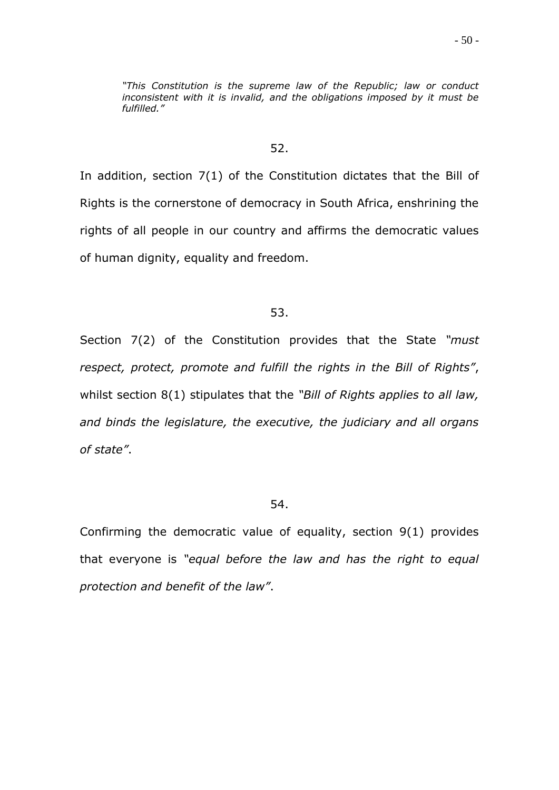*"This Constitution is the supreme law of the Republic; law or conduct inconsistent with it is invalid, and the obligations imposed by it must be fulfilled."*

#### 52.

In addition, section 7(1) of the Constitution dictates that the Bill of Rights is the cornerstone of democracy in South Africa, enshrining the rights of all people in our country and affirms the democratic values of human dignity, equality and freedom.

#### 53.

Section 7(2) of the Constitution provides that the State *"must respect, protect, promote and fulfill the rights in the Bill of Rights"*, whilst section 8(1) stipulates that the *"Bill of Rights applies to all law, and binds the legislature, the executive, the judiciary and all organs of state"*.

#### 54.

Confirming the democratic value of equality, section 9(1) provides that everyone is *"equal before the law and has the right to equal protection and benefit of the law"*.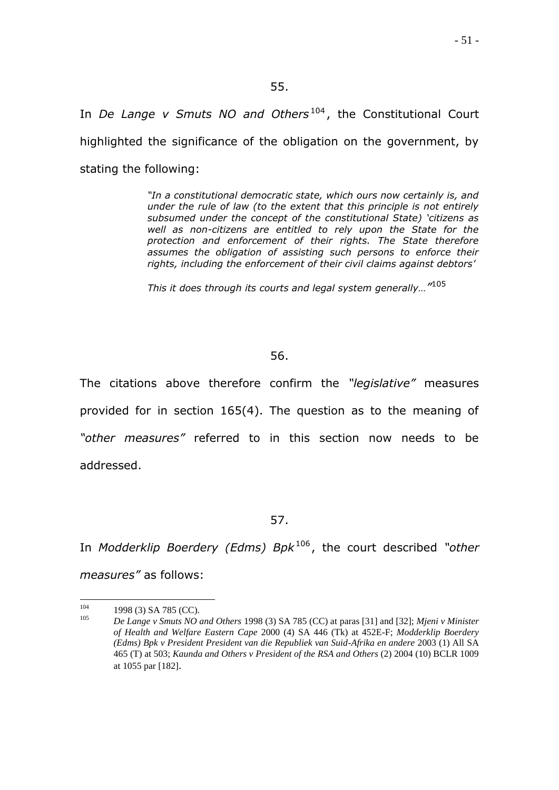## 55.

In *De Lange v Smuts NO and Others*<sup>104</sup>, the Constitutional Court highlighted the significance of the obligation on the government, by stating the following:

> *"In a constitutional democratic state, which ours now certainly is, and under the rule of law (to the extent that this principle is not entirely subsumed under the concept of the constitutional State) "citizens as well as non-citizens are entitled to rely upon the State for the protection and enforcement of their rights. The State therefore assumes the obligation of assisting such persons to enforce their rights, including the enforcement of their civil claims against debtors"*

*This it does through its courts and legal system generally…"* 105

## 56.

The citations above therefore confirm the *"legislative"* measures provided for in section 165(4). The question as to the meaning of *"other measures"* referred to in this section now needs to be addressed.

57.

In *Modderklip Boerdery (Edms) Bpk*<sup>106</sup>, the court described "other *measures"* as follows:

<sup>104</sup>  $^{104}$  1998 (3) SA 785 (CC).

<sup>105</sup> *De Lange v Smuts NO and Others* 1998 (3) SA 785 (CC) at paras [31] and [32]; *Mjeni v Minister of Health and Welfare Eastern Cape* 2000 (4) SA 446 (Tk) at 452E-F; *Modderklip Boerdery (Edms) Bpk v President President van die Republiek van Suid-Afrika en andere* 2003 (1) All SA 465 (T) at 503; *Kaunda and Others v President of the RSA and Others* (2) 2004 (10) BCLR 1009 at 1055 par [182].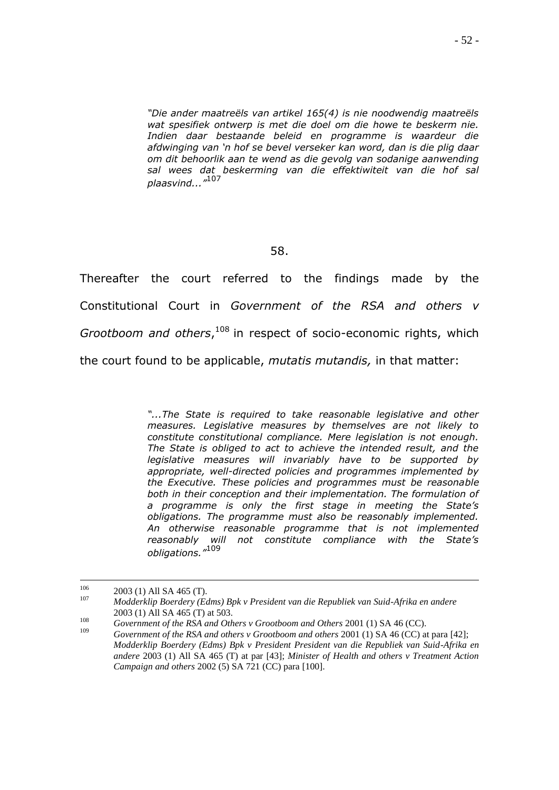*"Die ander maatreëls van artikel 165(4) is nie noodwendig maatreëls wat spesifiek ontwerp is met die doel om die howe te beskerm nie. Indien daar bestaande beleid en programme is waardeur die afdwinging van "n hof se bevel verseker kan word, dan is die plig daar om dit behoorlik aan te wend as die gevolg van sodanige aanwending sal wees dat beskerming van die effektiwiteit van die hof sal plaasvind..."*<sup>107</sup>

#### 58.

Thereafter the court referred to the findings made by the Constitutional Court in *Government of the RSA and others v Grootboom and others*, <sup>108</sup> in respect of socio-economic rights, which the court found to be applicable, *mutatis mutandis,* in that matter:

> "...The State is required to take reasonable legislative and other *measures. Legislative measures by themselves are not likely to constitute constitutional compliance. Mere legislation is not enough. The State is obliged to act to achieve the intended result, and the legislative measures will invariably have to be supported by appropriate, well-directed policies and programmes implemented by the Executive. These policies and programmes must be reasonable both in their conception and their implementation. The formulation of a programme is only the first stage in meeting the State"s obligations. The programme must also be reasonably implemented. An otherwise reasonable programme that is not implemented reasonably will not constitute compliance with the State"s obligations."*<sup>109</sup>

<sup>106</sup>  $^{106}$  2003 (1) All SA 465 (T). <sup>107</sup> *Modderklip Boerdery (Edms) Bpk v President van die Republiek van Suid-Afrika en andere*

<sup>2003 (1)</sup> All SA 465 (T) at 503.

<sup>108</sup> *Government of the RSA and Others v Grootboom and Others* 2001 (1) SA 46 (CC).

<sup>109</sup> *Government of the RSA and others v Grootboom and others* 2001 (1) SA 46 (CC) at para [42]; *Modderklip Boerdery (Edms) Bpk v President President van die Republiek van Suid-Afrika en andere* 2003 (1) All SA 465 (T) at par [43]; *Minister of Health and others v Treatment Action Campaign and others* 2002 (5) SA 721 (CC) para [100].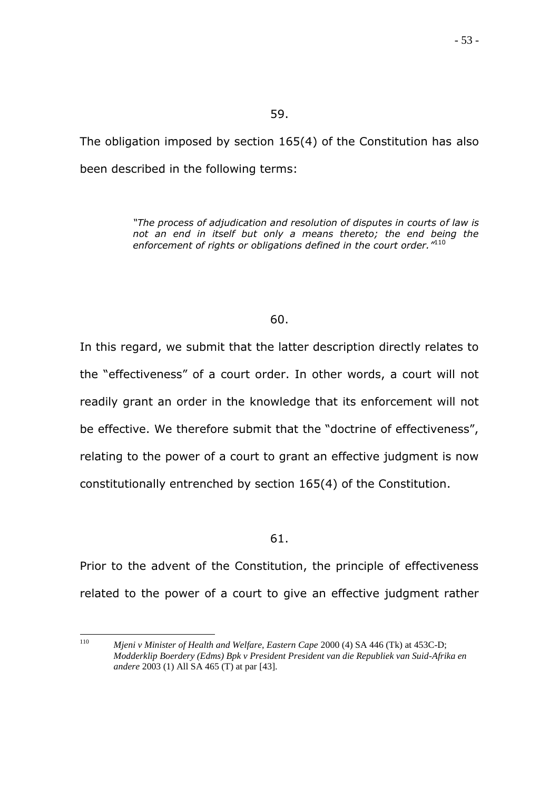The obligation imposed by section 165(4) of the Constitution has also been described in the following terms:

> *"The process of adjudication and resolution of disputes in courts of law is not an end in itself but only a means thereto; the end being the enforcement of rights or obligations defined in the court order."* 110

## 60.

In this regard, we submit that the latter description directly relates to the "effectiveness" of a court order. In other words, a court will not readily grant an order in the knowledge that its enforcement will not be effective. We therefore submit that the "doctrine of effectiveness", relating to the power of a court to grant an effective judgment is now constitutionally entrenched by section 165(4) of the Constitution.

#### 61.

Prior to the advent of the Constitution, the principle of effectiveness related to the power of a court to give an effective judgment rather

<sup>110</sup> <sup>110</sup> *Mjeni v Minister of Health and Welfare, Eastern Cape* 2000 (4) SA 446 (Tk) at 453C-D; *Modderklip Boerdery (Edms) Bpk v President President van die Republiek van Suid-Afrika en andere* 2003 (1) All SA 465 (T) at par [43].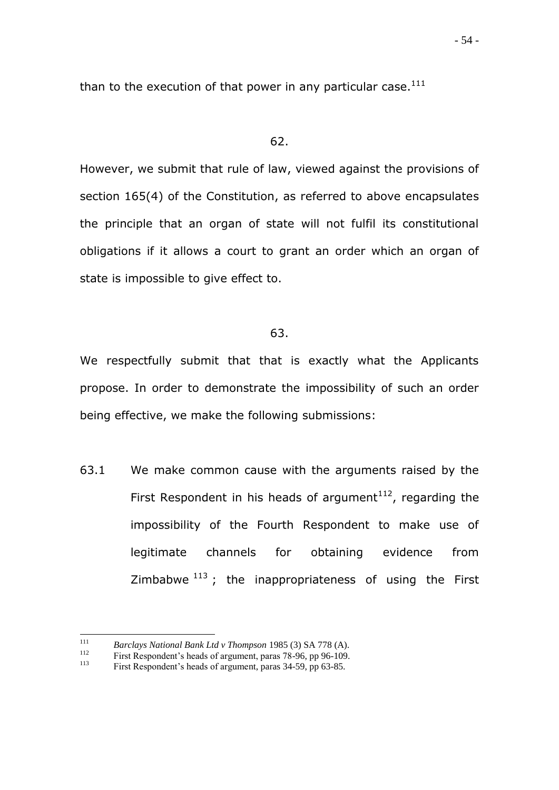than to the execution of that power in any particular case. $111$ 

#### 62.

However, we submit that rule of law, viewed against the provisions of section 165(4) of the Constitution, as referred to above encapsulates the principle that an organ of state will not fulfil its constitutional obligations if it allows a court to grant an order which an organ of state is impossible to give effect to.

## 63.

We respectfully submit that that is exactly what the Applicants propose. In order to demonstrate the impossibility of such an order being effective, we make the following submissions:

63.1 We make common cause with the arguments raised by the First Respondent in his heads of argument<sup>112</sup>, regarding the impossibility of the Fourth Respondent to make use of legitimate channels for obtaining evidence from Zimbabwe  $113$ ; the inappropriateness of using the First

<sup>111</sup> <sup>111</sup> *Barclays National Bank Ltd v Thompson* 1985 (3) SA 778 (A).<br><sup>112</sup> **Eirst Respondent's heads of argument** pares 78, 96, pp 96, 109

<sup>&</sup>lt;sup>112</sup> First Respondent's heads of argument, paras 78-96, pp 96-109.<br><sup>113</sup> First Beapondent's heads of argument, paras 24.50, pp 62.85.

First Respondent's heads of argument, paras 34-59, pp 63-85.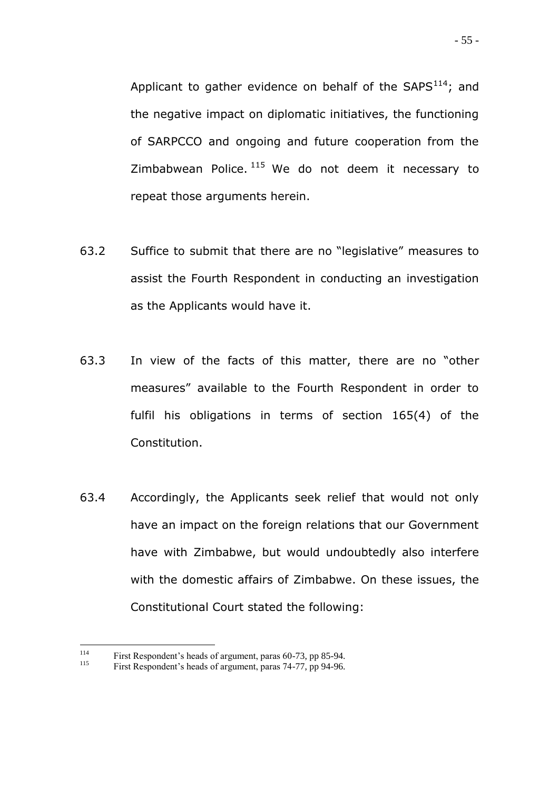Applicant to gather evidence on behalf of the  $SAPS<sup>114</sup>$ ; and the negative impact on diplomatic initiatives, the functioning of SARPCCO and ongoing and future cooperation from the Zimbabwean Police.  $115$  We do not deem it necessary to repeat those arguments herein.

- 63.2 Suffice to submit that there are no "legislative" measures to assist the Fourth Respondent in conducting an investigation as the Applicants would have it.
- 63.3 In view of the facts of this matter, there are no "other measures" available to the Fourth Respondent in order to fulfil his obligations in terms of section 165(4) of the Constitution.
- 63.4 Accordingly, the Applicants seek relief that would not only have an impact on the foreign relations that our Government have with Zimbabwe, but would undoubtedly also interfere with the domestic affairs of Zimbabwe. On these issues, the Constitutional Court stated the following:

<sup>114</sup> <sup>114</sup> First Respondent's heads of argument, paras 60-73, pp 85-94.<br><sup>115</sup> First Respondent's heads of argument, paras 74, 77, pp 04, 06.

First Respondent's heads of argument, paras 74-77, pp 94-96.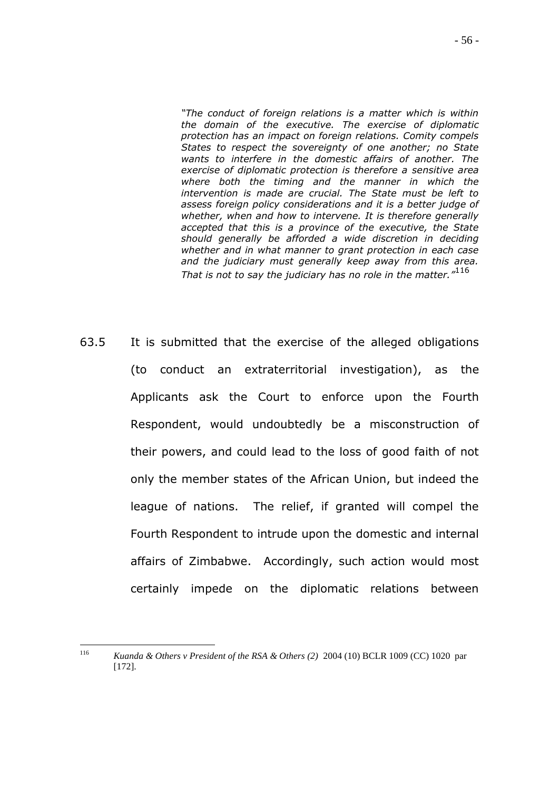*"The conduct of foreign relations is a matter which is within the domain of the executive. The exercise of diplomatic protection has an impact on foreign relations. Comity compels States to respect the sovereignty of one another; no State wants to interfere in the domestic affairs of another. The exercise of diplomatic protection is therefore a sensitive area where both the timing and the manner in which the intervention is made are crucial. The State must be left to assess foreign policy considerations and it is a better judge of whether, when and how to intervene. It is therefore generally accepted that this is a province of the executive, the State should generally be afforded a wide discretion in deciding whether and in what manner to grant protection in each case and the judiciary must generally keep away from this area. That is not to say the judiciary has no role in the matter."*<sup>116</sup>

63.5 It is submitted that the exercise of the alleged obligations (to conduct an extraterritorial investigation), as the Applicants ask the Court to enforce upon the Fourth Respondent, would undoubtedly be a misconstruction of their powers, and could lead to the loss of good faith of not only the member states of the African Union, but indeed the league of nations. The relief, if granted will compel the Fourth Respondent to intrude upon the domestic and internal affairs of Zimbabwe. Accordingly, such action would most certainly impede on the diplomatic relations between

<sup>116</sup> <sup>116</sup> *Kuanda & Others v President of the RSA & Others (2)* 2004 (10) BCLR 1009 (CC) 1020 par [172].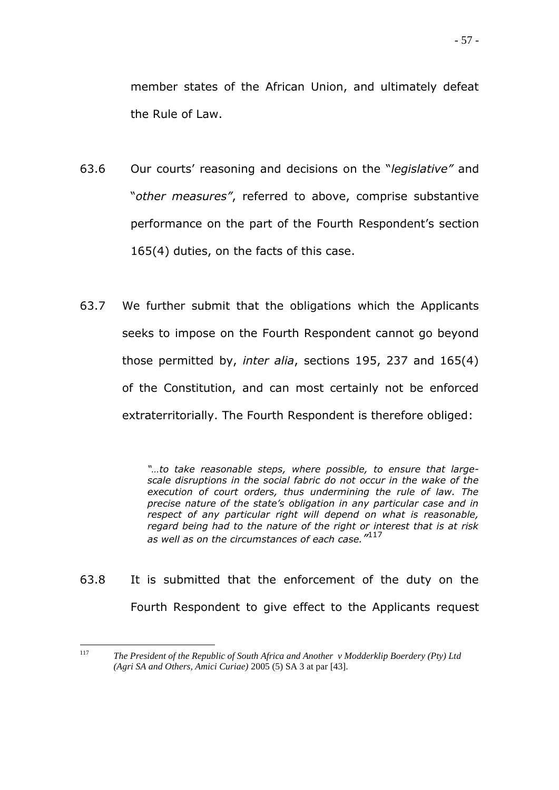member states of the African Union, and ultimately defeat the Rule of Law.

- 63.6 Our courts" reasoning and decisions on the "*legislative"* and "*other measures"*, referred to above, comprise substantive performance on the part of the Fourth Respondent's section 165(4) duties, on the facts of this case.
- 63.7 We further submit that the obligations which the Applicants seeks to impose on the Fourth Respondent cannot go beyond those permitted by, *inter alia*, sections 195, 237 and 165(4) of the Constitution, and can most certainly not be enforced extraterritorially. The Fourth Respondent is therefore obliged:

*"…to take reasonable steps, where possible, to ensure that largescale disruptions in the social fabric do not occur in the wake of the execution of court orders, thus undermining the rule of law. The precise nature of the state"s obligation in any particular case and in respect of any particular right will depend on what is reasonable, regard being had to the nature of the right or interest that is at risk as well as on the circumstances of each case."* 117

63.8 It is submitted that the enforcement of the duty on the Fourth Respondent to give effect to the Applicants request

<sup>117</sup> <sup>117</sup> *The President of the Republic of South Africa and Another v Modderklip Boerdery (Pty) Ltd (Agri SA and Others, Amici Curiae)* 2005 (5) SA 3 at par [43].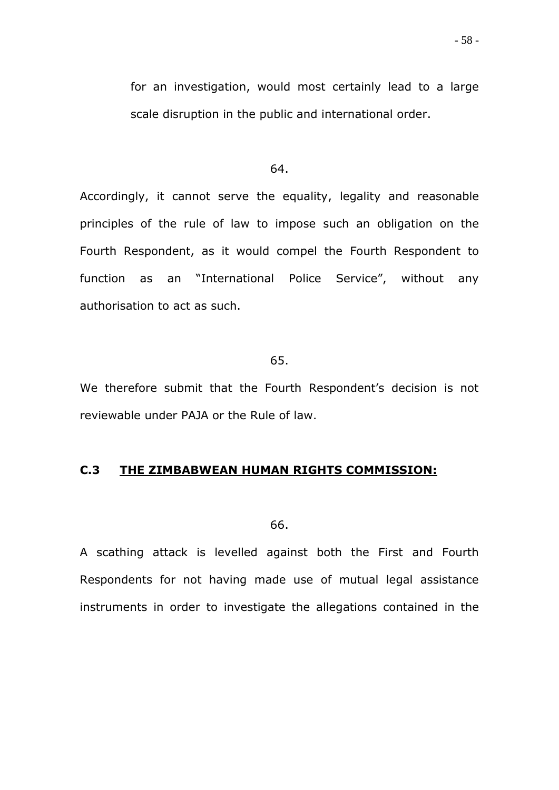#### 64.

Accordingly, it cannot serve the equality, legality and reasonable principles of the rule of law to impose such an obligation on the Fourth Respondent, as it would compel the Fourth Respondent to function as an "International Police Service", without any authorisation to act as such.

65.

We therefore submit that the Fourth Respondent's decision is not reviewable under PAJA or the Rule of law.

## **C.3 THE ZIMBABWEAN HUMAN RIGHTS COMMISSION:**

66.

A scathing attack is levelled against both the First and Fourth Respondents for not having made use of mutual legal assistance instruments in order to investigate the allegations contained in the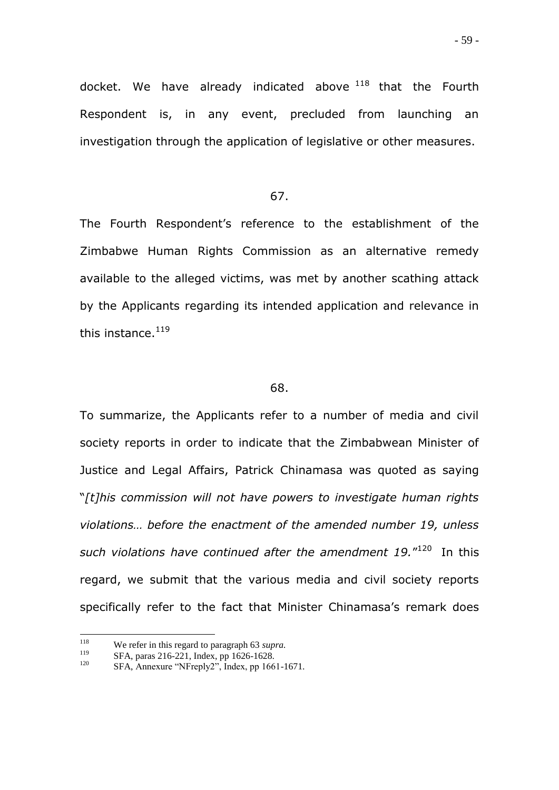docket. We have already indicated above  $118$  that the Fourth Respondent is, in any event, precluded from launching an investigation through the application of legislative or other measures.

#### 67.

The Fourth Respondent"s reference to the establishment of the Zimbabwe Human Rights Commission as an alternative remedy available to the alleged victims, was met by another scathing attack by the Applicants regarding its intended application and relevance in this instance.<sup>119</sup>

#### 68.

To summarize, the Applicants refer to a number of media and civil society reports in order to indicate that the Zimbabwean Minister of Justice and Legal Affairs, Patrick Chinamasa was quoted as saying "*[t]his commission will not have powers to investigate human rights violations… before the enactment of the amended number 19, unless*  such violations have continued after the amendment 19."<sup>120</sup> In this regard, we submit that the various media and civil society reports specifically refer to the fact that Minister Chinamasa's remark does

<sup>118</sup> <sup>118</sup> We refer in this regard to paragraph 63 *supra*.<br><sup>119</sup> SEA paras 216 221 Judex pp 1626 1628

<sup>&</sup>lt;sup>119</sup> SFA, paras 216-221, Index, pp 1626-1628.<br><sup>120</sup> SEA, Announce "MEraph.<sup>2</sup>", Indox, pp 166.

SFA, Annexure "NFreply2", Index, pp 1661-1671.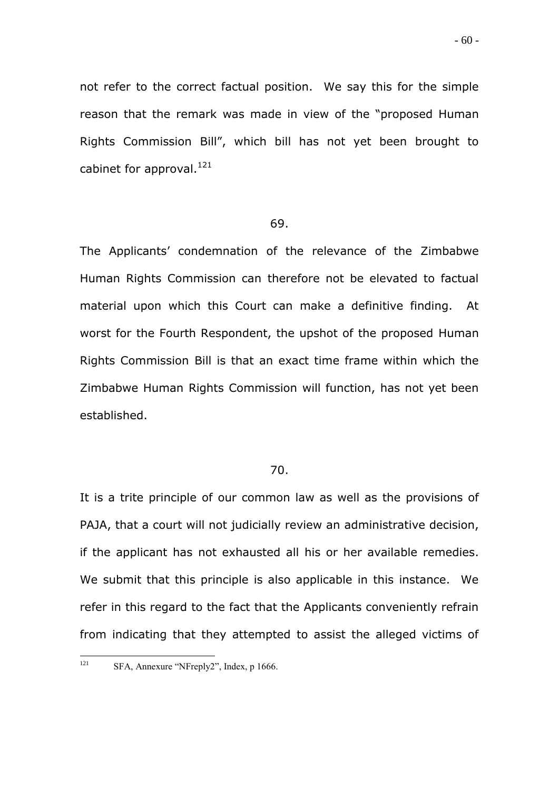not refer to the correct factual position. We say this for the simple reason that the remark was made in view of the "proposed Human Rights Commission Bill", which bill has not yet been brought to cabinet for approval. $^{121}$ 

#### 69.

The Applicants' condemnation of the relevance of the Zimbabwe Human Rights Commission can therefore not be elevated to factual material upon which this Court can make a definitive finding. At worst for the Fourth Respondent, the upshot of the proposed Human Rights Commission Bill is that an exact time frame within which the Zimbabwe Human Rights Commission will function, has not yet been established.

#### 70.

It is a trite principle of our common law as well as the provisions of PAJA, that a court will not judicially review an administrative decision, if the applicant has not exhausted all his or her available remedies. We submit that this principle is also applicable in this instance. We refer in this regard to the fact that the Applicants conveniently refrain from indicating that they attempted to assist the alleged victims of

<sup>121</sup> SFA, Annexure "NFreply2", Index, p 1666.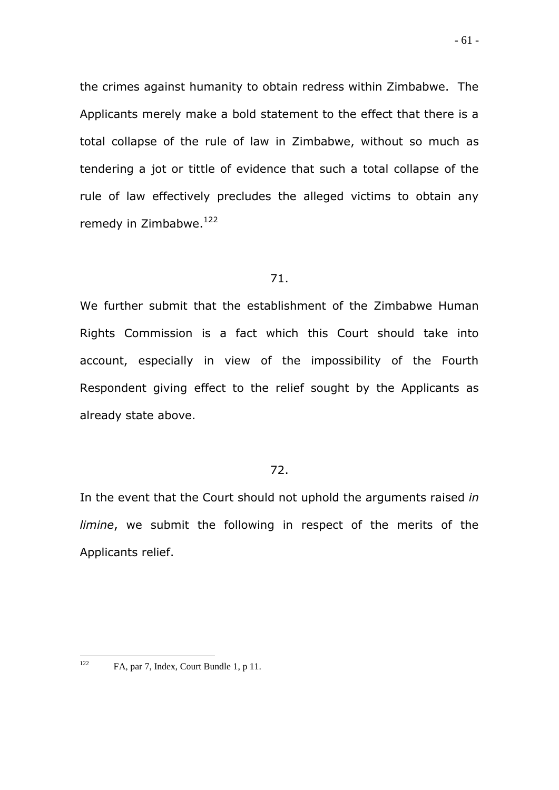the crimes against humanity to obtain redress within Zimbabwe. The Applicants merely make a bold statement to the effect that there is a total collapse of the rule of law in Zimbabwe, without so much as tendering a jot or tittle of evidence that such a total collapse of the rule of law effectively precludes the alleged victims to obtain any remedy in Zimbabwe.<sup>122</sup>

## 71.

We further submit that the establishment of the Zimbabwe Human Rights Commission is a fact which this Court should take into account, especially in view of the impossibility of the Fourth Respondent giving effect to the relief sought by the Applicants as already state above.

## 72.

In the event that the Court should not uphold the arguments raised *in limine*, we submit the following in respect of the merits of the Applicants relief.

<sup>122</sup> FA, par 7, Index, Court Bundle 1, p 11.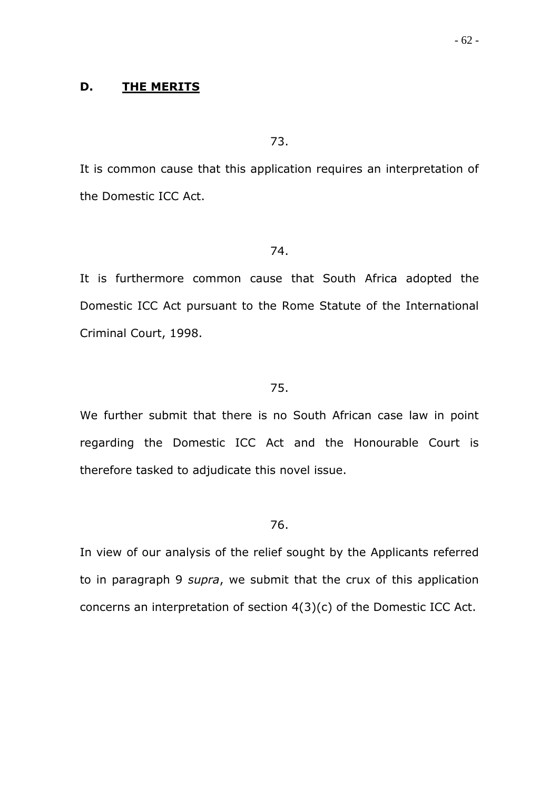## **D. THE MERITS**

#### 73.

It is common cause that this application requires an interpretation of the Domestic ICC Act.

#### 74.

It is furthermore common cause that South Africa adopted the Domestic ICC Act pursuant to the Rome Statute of the International Criminal Court, 1998.

#### 75.

We further submit that there is no South African case law in point regarding the Domestic ICC Act and the Honourable Court is therefore tasked to adjudicate this novel issue.

#### 76.

In view of our analysis of the relief sought by the Applicants referred to in paragraph 9 *supra*, we submit that the crux of this application concerns an interpretation of section 4(3)(c) of the Domestic ICC Act.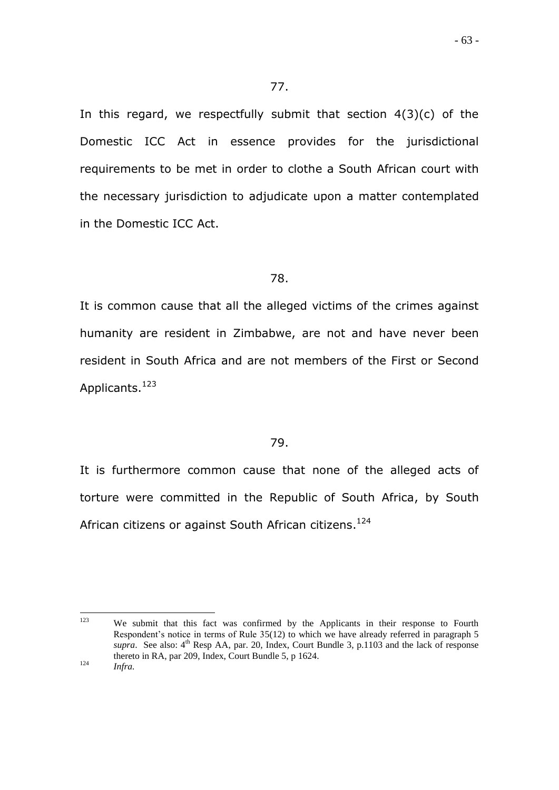In this regard, we respectfully submit that section  $4(3)(c)$  of the Domestic ICC Act in essence provides for the jurisdictional requirements to be met in order to clothe a South African court with the necessary jurisdiction to adjudicate upon a matter contemplated in the Domestic ICC Act.

## 78.

It is common cause that all the alleged victims of the crimes against humanity are resident in Zimbabwe, are not and have never been resident in South Africa and are not members of the First or Second Applicants.<sup>123</sup>

## 79.

It is furthermore common cause that none of the alleged acts of torture were committed in the Republic of South Africa, by South African citizens or against South African citizens.<sup>124</sup>

<sup>123</sup> We submit that this fact was confirmed by the Applicants in their response to Fourth Respondent"s notice in terms of Rule 35(12) to which we have already referred in paragraph 5 *supra*. See also:  $4<sup>th</sup>$  Resp AA, par. 20, Index, Court Bundle 3, p.1103 and the lack of response thereto in RA, par 209, Index, Court Bundle 5, p 1624. <sup>124</sup> *Infra.*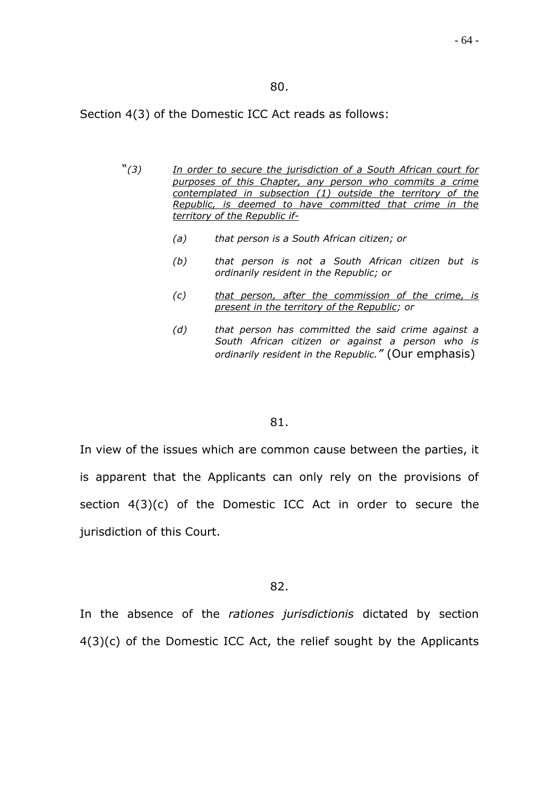#### 80.

Section 4(3) of the Domestic ICC Act reads as follows:

- "*(3) In order to secure the jurisdiction of a South African court for purposes of this Chapter, any person who commits a crime contemplated in subsection (1) outside the territory of the Republic, is deemed to have committed that crime in the territory of the Republic if-*
	- *(a) that person is a South African citizen; or*
	- *(b) that person is not a South African citizen but is ordinarily resident in the Republic; or*
	- *(c) that person, after the commission of the crime, is present in the territory of the Republic; or*
	- *(d) that person has committed the said crime against a South African citizen or against a person who is ordinarily resident in the Republic."* (Our emphasis)

#### 81.

In view of the issues which are common cause between the parties, it is apparent that the Applicants can only rely on the provisions of section 4(3)(c) of the Domestic ICC Act in order to secure the jurisdiction of this Court.

#### 82.

In the absence of the *rationes jurisdictionis* dictated by section 4(3)(c) of the Domestic ICC Act, the relief sought by the Applicants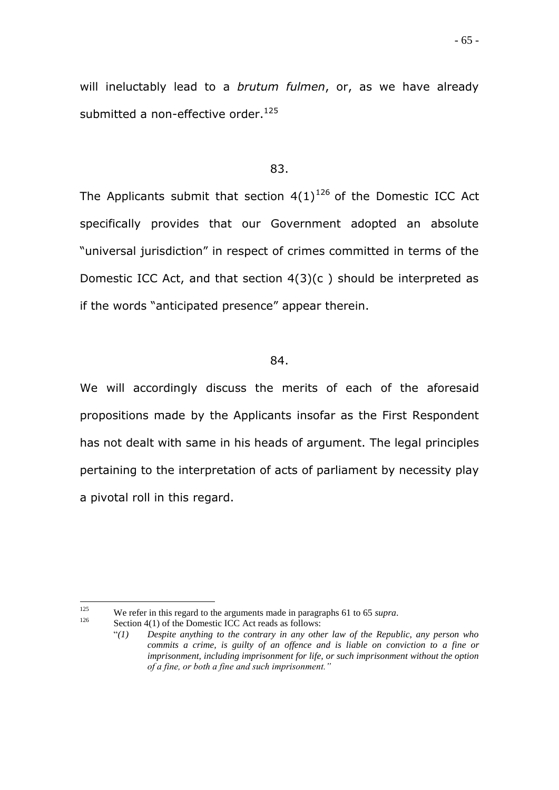- 65 -

will ineluctably lead to a *brutum fulmen*, or, as we have already submitted a non-effective order.<sup>125</sup>

## 83.

The Applicants submit that section  $4(1)^{126}$  of the Domestic ICC Act specifically provides that our Government adopted an absolute "universal jurisdiction" in respect of crimes committed in terms of the Domestic ICC Act, and that section 4(3)(c ) should be interpreted as if the words "anticipated presence" appear therein.

## 84.

We will accordingly discuss the merits of each of the aforesaid propositions made by the Applicants insofar as the First Respondent has not dealt with same in his heads of argument. The legal principles pertaining to the interpretation of acts of parliament by necessity play a pivotal roll in this regard.

<sup>125</sup> <sup>125</sup> We refer in this regard to the arguments made in paragraphs 61 to 65 *supra*.<br> **Example 126** Society 126 Act reads as follows:

Section  $4(1)$  of the Domestic ICC Act reads as follows:

<sup>&</sup>quot;*(1) Despite anything to the contrary in any other law of the Republic, any person who commits a crime, is guilty of an offence and is liable on conviction to a fine or imprisonment, including imprisonment for life, or such imprisonment without the option of a fine, or both a fine and such imprisonment."*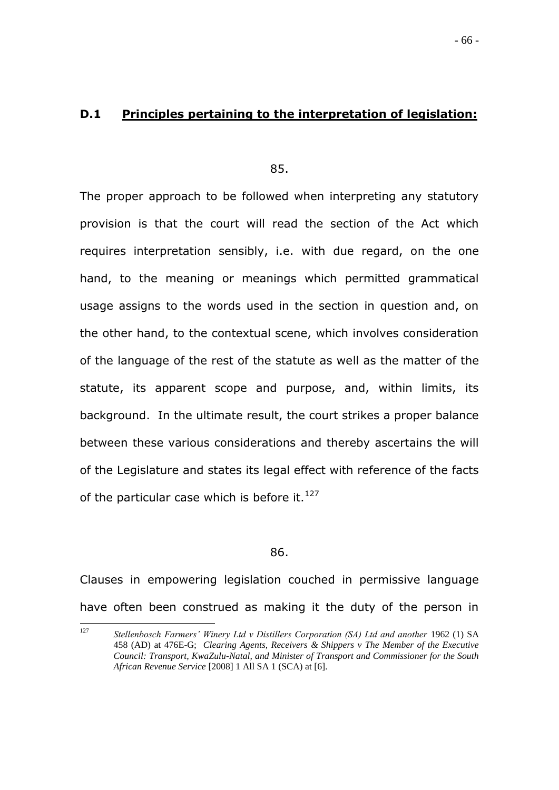## **D.1 Principles pertaining to the interpretation of legislation:**

85.

The proper approach to be followed when interpreting any statutory provision is that the court will read the section of the Act which requires interpretation sensibly, i.e. with due regard, on the one hand, to the meaning or meanings which permitted grammatical usage assigns to the words used in the section in question and, on the other hand, to the contextual scene, which involves consideration of the language of the rest of the statute as well as the matter of the statute, its apparent scope and purpose, and, within limits, its background. In the ultimate result, the court strikes a proper balance between these various considerations and thereby ascertains the will of the Legislature and states its legal effect with reference of the facts of the particular case which is before it.  $127$ 

#### 86.

Clauses in empowering legislation couched in permissive language have often been construed as making it the duty of the person in

 $127$ <sup>127</sup> *Stellenbosch Farmers' Winery Ltd v Distillers Corporation (SA) Ltd and another* 1962 (1) SA 458 (AD) at 476E-G; *Clearing Agents, Receivers & Shippers v The Member of the Executive Council: Transport, KwaZulu-Natal, and Minister of Transport and Commissioner for the South African Revenue Service* [2008] 1 All SA 1 (SCA) at [6].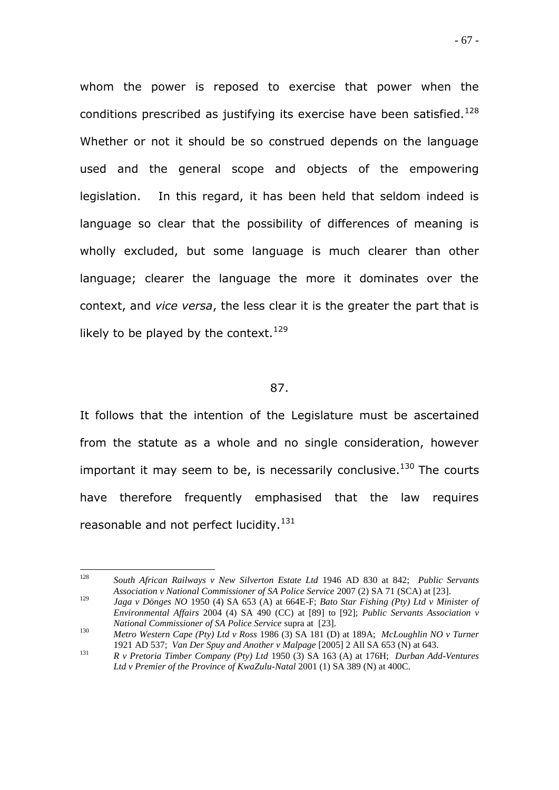whom the power is reposed to exercise that power when the conditions prescribed as justifying its exercise have been satisfied. $^{128}$ Whether or not it should be so construed depends on the language used and the general scope and objects of the empowering legislation. In this regard, it has been held that seldom indeed is language so clear that the possibility of differences of meaning is wholly excluded, but some language is much clearer than other language; clearer the language the more it dominates over the context, and *vice versa*, the less clear it is the greater the part that is likely to be played by the context.  $129$ 

#### 87.

It follows that the intention of the Legislature must be ascertained from the statute as a whole and no single consideration, however important it may seem to be, is necessarily conclusive.<sup>130</sup> The courts have therefore frequently emphasised that the law requires reasonable and not perfect lucidity.<sup>131</sup>

<sup>128</sup> <sup>128</sup> *South African Railways v New Silverton Estate Ltd* 1946 AD 830 at 842; *Public Servants Association v National Commissioner of SA Police Service* 2007 (2) SA 71 (SCA) at [23].

<sup>129</sup> *Jaga v Dönges NO* 1950 (4) SA 653 (A) at 664E-F; *Bato Star Fishing (Pty) Ltd v Minister of Environmental Affairs* 2004 (4) SA 490 (CC) at [89] to [92]; *Public Servants Association v National Commissioner of SA Police Service* supra at [23].

<sup>130</sup> *Metro Western Cape (Pty) Ltd v Ross* 1986 (3) SA 181 (D) at 189A; *McLoughlin NO v Turner* 1921 AD 537; *Van Der Spuy and Another v Malpage* [2005] 2 All SA 653 (N) at 643.

<sup>131</sup> *R v Pretoria Timber Company (Pty) Ltd* 1950 (3) SA 163 (A) at 176H; *Durban Add-Ventures*  Ltd v Premier of the Province of KwaZulu-Natal 2001 (1) SA 389 (N) at 400C.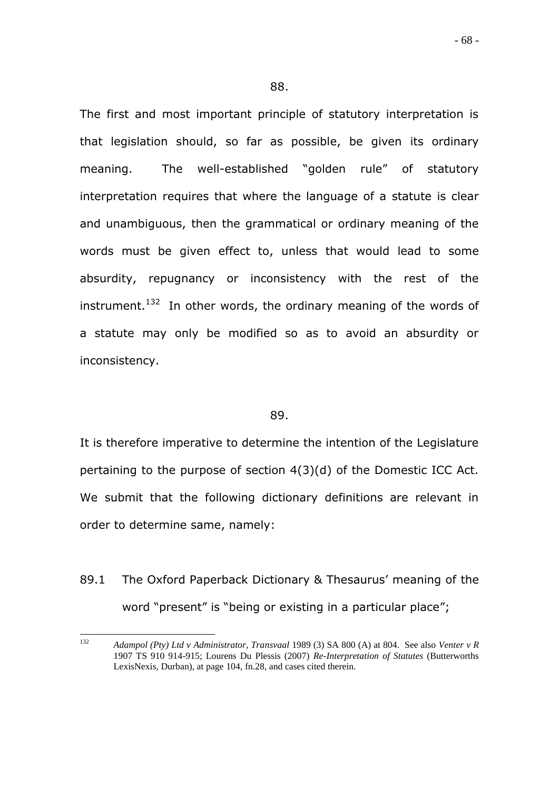The first and most important principle of statutory interpretation is that legislation should, so far as possible, be given its ordinary meaning. The well-established "golden rule" of statutory interpretation requires that where the language of a statute is clear and unambiguous, then the grammatical or ordinary meaning of the words must be given effect to, unless that would lead to some absurdity, repugnancy or inconsistency with the rest of the instrument.<sup>132</sup> In other words, the ordinary meaning of the words of a statute may only be modified so as to avoid an absurdity or inconsistency.

#### 89.

It is therefore imperative to determine the intention of the Legislature pertaining to the purpose of section 4(3)(d) of the Domestic ICC Act. We submit that the following dictionary definitions are relevant in order to determine same, namely:

89.1 The Oxford Paperback Dictionary & Thesaurus' meaning of the word "present" is "being or existing in a particular place";

 $132$ <sup>132</sup> *Adampol (Pty) Ltd v Administrator, Transvaal* 1989 (3) SA 800 (A) at 804. See also *Venter v R* 1907 TS 910 914-915; Lourens Du Plessis (2007) *Re-Interpretation of Statutes* (Butterworths LexisNexis, Durban), at page 104, fn.28, and cases cited therein.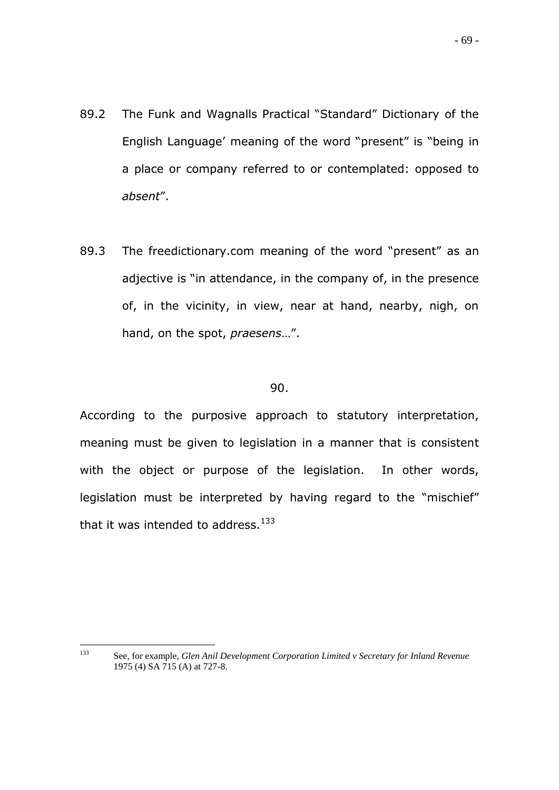- 89.2 The Funk and Wagnalls Practical "Standard" Dictionary of the English Language" meaning of the word "present" is "being in a place or company referred to or contemplated: opposed to *absent*".
- 89.3 The freedictionary.com meaning of the word "present" as an adjective is "in attendance, in the company of, in the presence of, in the vicinity, in view, near at hand, nearby, nigh, on hand, on the spot, *praesens*…".

#### 90.

According to the purposive approach to statutory interpretation, meaning must be given to legislation in a manner that is consistent with the object or purpose of the legislation. In other words, legislation must be interpreted by having regard to the "mischief" that it was intended to address. $133$ 

- 69 -

<sup>133</sup> <sup>133</sup> See, for example, *Glen Anil Development Corporation Limited v Secretary for Inland Revenue* 1975 (4) SA 715 (A) at 727-8.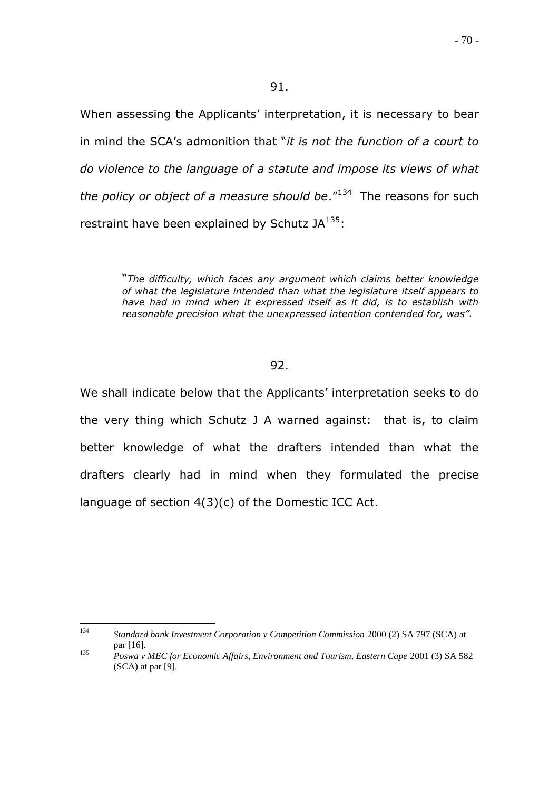When assessing the Applicants' interpretation, it is necessary to bear in mind the SCA"s admonition that "*it is not the function of a court to do violence to the language of a statute and impose its views of what*  the policy or object of a measure should be."<sup>134</sup> The reasons for such restraint have been explained by Schutz  $JA^{135}$ :

> "*The difficulty, which faces any argument which claims better knowledge of what the legislature intended than what the legislature itself appears to have had in mind when it expressed itself as it did, is to establish with reasonable precision what the unexpressed intention contended for, was".*

## 92.

We shall indicate below that the Applicants' interpretation seeks to do the very thing which Schutz J A warned against: that is, to claim better knowledge of what the drafters intended than what the drafters clearly had in mind when they formulated the precise language of section 4(3)(c) of the Domestic ICC Act.

134 <sup>134</sup> *Standard bank Investment Corporation v Competition Commission* 2000 (2) SA 797 (SCA) at par [16].

<sup>135</sup> *Poswa v MEC for Economic Affairs, Environment and Tourism, Eastern Cape* 2001 (3) SA 582 (SCA) at par [9].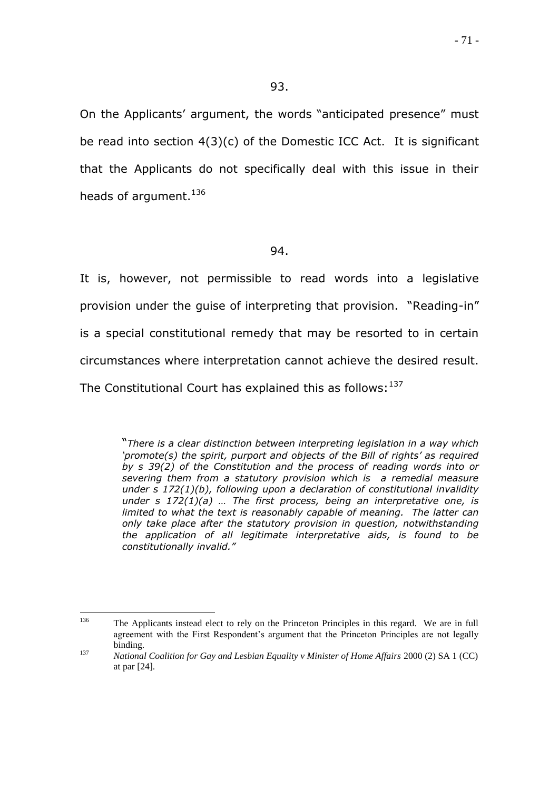On the Applicants" argument, the words "anticipated presence" must be read into section 4(3)(c) of the Domestic ICC Act. It is significant that the Applicants do not specifically deal with this issue in their heads of argument. $136$ 

## 94.

It is, however, not permissible to read words into a legislative provision under the guise of interpreting that provision. "Reading-in" is a special constitutional remedy that may be resorted to in certain circumstances where interpretation cannot achieve the desired result. The Constitutional Court has explained this as follows:  $137$ 

> "*There is a clear distinction between interpreting legislation in a way which "promote(s) the spirit, purport and objects of the Bill of rights" as required by s 39(2) of the Constitution and the process of reading words into or severing them from a statutory provision which is a remedial measure under s 172(1)(b), following upon a declaration of constitutional invalidity under s 172(1)(a) … The first process, being an interpretative one, is limited to what the text is reasonably capable of meaning. The latter can only take place after the statutory provision in question, notwithstanding the application of all legitimate interpretative aids, is found to be constitutionally invalid."*

<sup>136</sup> <sup>136</sup> The Applicants instead elect to rely on the Princeton Principles in this regard. We are in full agreement with the First Respondent"s argument that the Princeton Principles are not legally binding.

<sup>137</sup> *National Coalition for Gay and Lesbian Equality v Minister of Home Affairs* 2000 (2) SA 1 (CC) at par [24].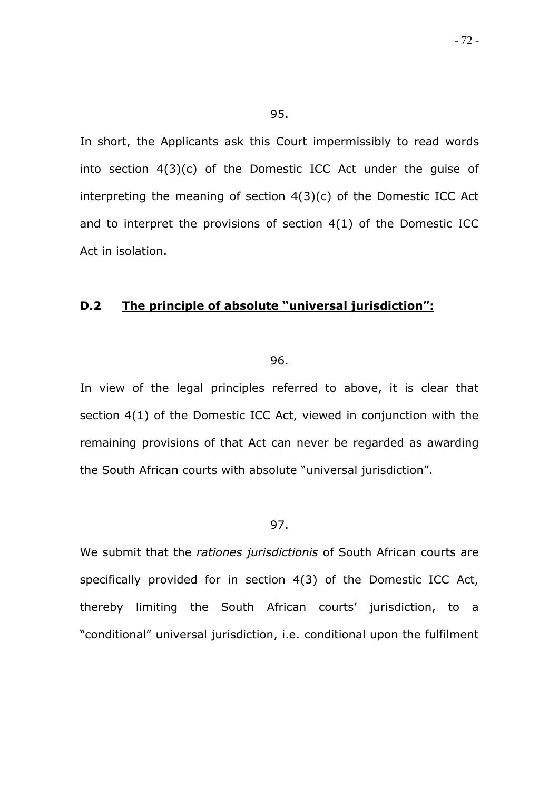In short, the Applicants ask this Court impermissibly to read words into section 4(3)(c) of the Domestic ICC Act under the guise of interpreting the meaning of section 4(3)(c) of the Domestic ICC Act and to interpret the provisions of section 4(1) of the Domestic ICC Act in isolation.

## **D.2 The principle of absolute "universal jurisdiction":**

96.

In view of the legal principles referred to above, it is clear that section 4(1) of the Domestic ICC Act, viewed in conjunction with the remaining provisions of that Act can never be regarded as awarding the South African courts with absolute "universal jurisdiction".

#### 97.

We submit that the *rationes jurisdictionis* of South African courts are specifically provided for in section 4(3) of the Domestic ICC Act, thereby limiting the South African courts' jurisdiction, to a "conditional" universal jurisdiction, i.e. conditional upon the fulfilment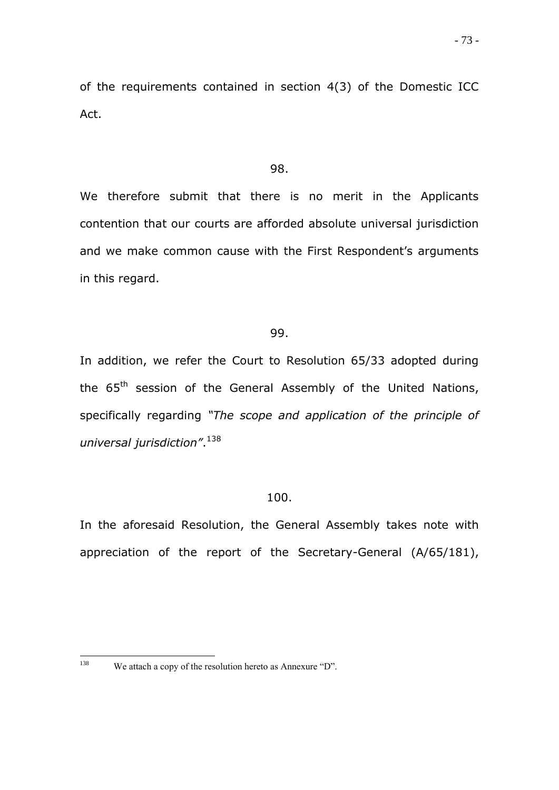of the requirements contained in section 4(3) of the Domestic ICC Act.

#### 98.

We therefore submit that there is no merit in the Applicants contention that our courts are afforded absolute universal jurisdiction and we make common cause with the First Respondent's arguments in this regard.

# 99.

In addition, we refer the Court to Resolution 65/33 adopted during the 65<sup>th</sup> session of the General Assembly of the United Nations, specifically regarding *"The scope and application of the principle of universal jurisdiction"*. 138

#### 100.

In the aforesaid Resolution, the General Assembly takes note with appreciation of the report of the Secretary-General (A/65/181),

<sup>138</sup> We attach a copy of the resolution hereto as Annexure "D".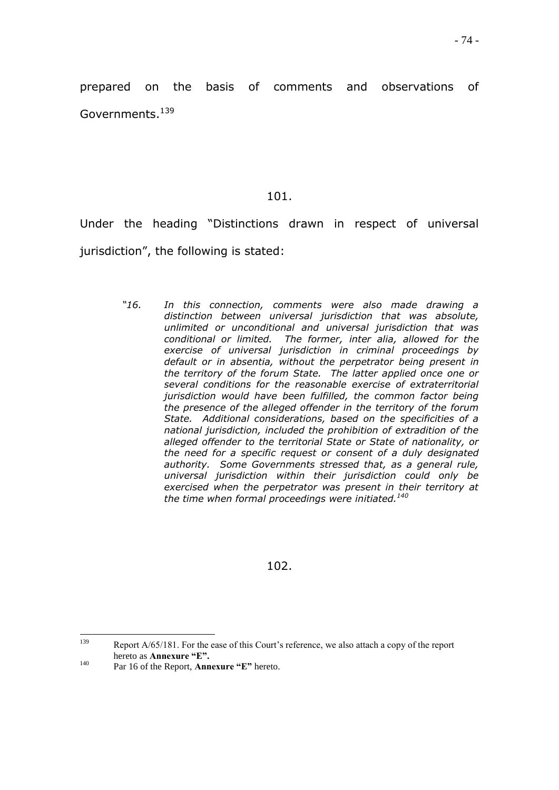prepared on the basis of comments and observations of Governments.<sup>139</sup>

### 101.

Under the heading "Distinctions drawn in respect of universal jurisdiction", the following is stated:

> *"16. In this connection, comments were also made drawing a distinction between universal jurisdiction that was absolute, unlimited or unconditional and universal jurisdiction that was conditional or limited. The former, inter alia, allowed for the exercise of universal jurisdiction in criminal proceedings by default or in absentia, without the perpetrator being present in the territory of the forum State. The latter applied once one or several conditions for the reasonable exercise of extraterritorial jurisdiction would have been fulfilled, the common factor being the presence of the alleged offender in the territory of the forum State. Additional considerations, based on the specificities of a national jurisdiction, included the prohibition of extradition of the alleged offender to the territorial State or State of nationality, or the need for a specific request or consent of a duly designated authority. Some Governments stressed that, as a general rule, universal jurisdiction within their jurisdiction could only be exercised when the perpetrator was present in their territory at the time when formal proceedings were initiated.<sup>140</sup>*

### 102.

139 Report A/65/181. For the ease of this Court's reference, we also attach a copy of the report hereto as **Annexure "E".** 

<sup>140</sup> Par 16 of the Report, **Annexure "E"** hereto.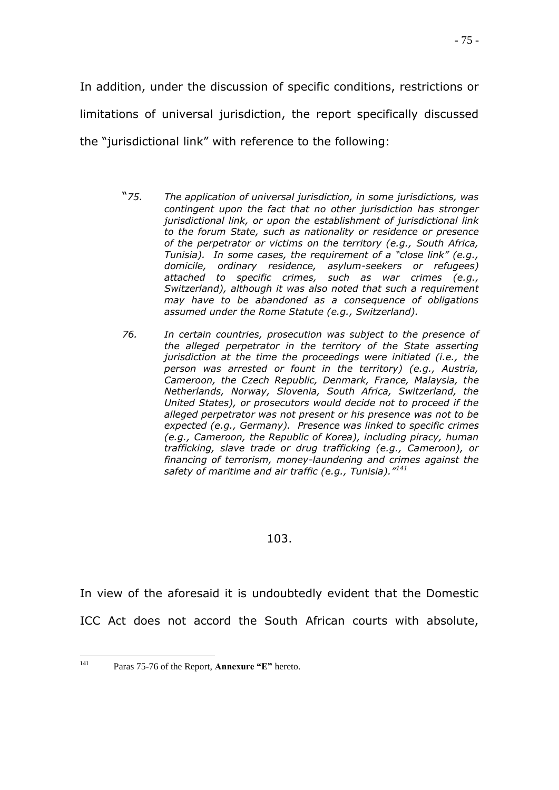In addition, under the discussion of specific conditions, restrictions or limitations of universal jurisdiction, the report specifically discussed the "jurisdictional link" with reference to the following:

- "*75. The application of universal jurisdiction, in some jurisdictions, was contingent upon the fact that no other jurisdiction has stronger jurisdictional link, or upon the establishment of jurisdictional link to the forum State, such as nationality or residence or presence of the perpetrator or victims on the territory (e.g., South Africa, Tunisia). In some cases, the requirement of a "close link" (e.g., domicile, ordinary residence, asylum-seekers or refugees) attached to specific crimes, such as war crimes (e.g., Switzerland), although it was also noted that such a requirement may have to be abandoned as a consequence of obligations assumed under the Rome Statute (e.g., Switzerland).*
- *76. In certain countries, prosecution was subject to the presence of the alleged perpetrator in the territory of the State asserting jurisdiction at the time the proceedings were initiated (i.e., the person was arrested or fount in the territory) (e.g., Austria, Cameroon, the Czech Republic, Denmark, France, Malaysia, the Netherlands, Norway, Slovenia, South Africa, Switzerland, the United States), or prosecutors would decide not to proceed if the alleged perpetrator was not present or his presence was not to be expected (e.g., Germany). Presence was linked to specific crimes (e.g., Cameroon, the Republic of Korea), including piracy, human trafficking, slave trade or drug trafficking (e.g., Cameroon), or financing of terrorism, money-laundering and crimes against the safety of maritime and air traffic (e.g., Tunisia)."<sup>141</sup>*

### 103.

In view of the aforesaid it is undoubtedly evident that the Domestic

ICC Act does not accord the South African courts with absolute,

<sup>141</sup> Paras 75-76 of the Report, **Annexure "E"** hereto.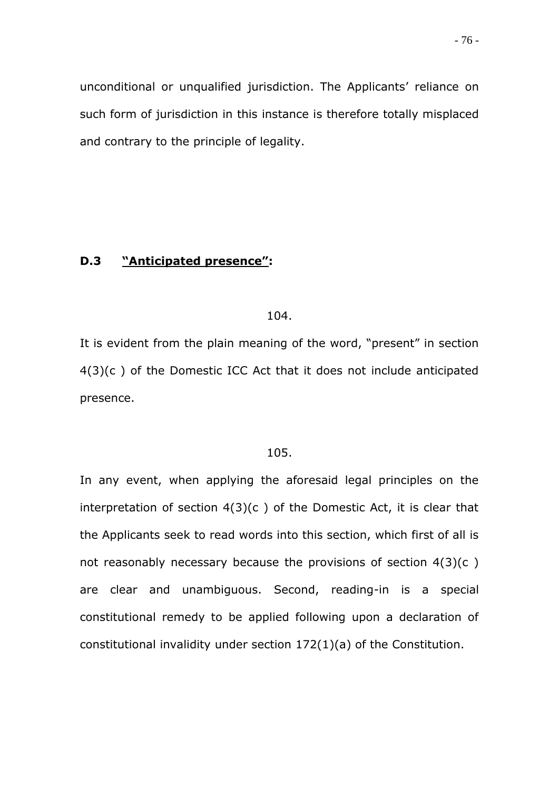unconditional or unqualified jurisdiction. The Applicants' reliance on such form of jurisdiction in this instance is therefore totally misplaced and contrary to the principle of legality.

# **D.3 "Anticipated presence":**

#### 104.

It is evident from the plain meaning of the word, "present" in section 4(3)(c ) of the Domestic ICC Act that it does not include anticipated presence.

### 105.

In any event, when applying the aforesaid legal principles on the interpretation of section  $4(3)(c)$  of the Domestic Act, it is clear that the Applicants seek to read words into this section, which first of all is not reasonably necessary because the provisions of section 4(3)(c ) are clear and unambiguous. Second, reading-in is a special constitutional remedy to be applied following upon a declaration of constitutional invalidity under section 172(1)(a) of the Constitution.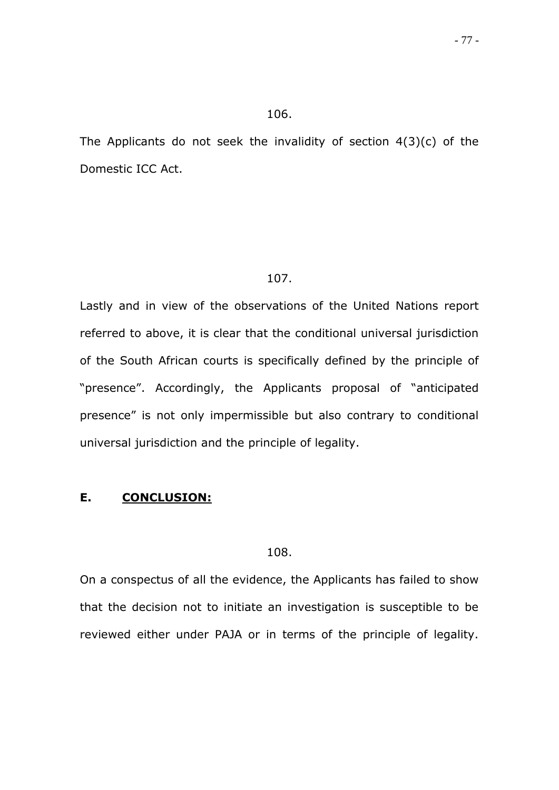#### 106.

The Applicants do not seek the invalidity of section 4(3)(c) of the Domestic ICC Act.

#### 107.

Lastly and in view of the observations of the United Nations report referred to above, it is clear that the conditional universal jurisdiction of the South African courts is specifically defined by the principle of "presence". Accordingly, the Applicants proposal of "anticipated presence" is not only impermissible but also contrary to conditional universal jurisdiction and the principle of legality.

#### **E. CONCLUSION:**

### 108.

On a conspectus of all the evidence, the Applicants has failed to show that the decision not to initiate an investigation is susceptible to be reviewed either under PAJA or in terms of the principle of legality.